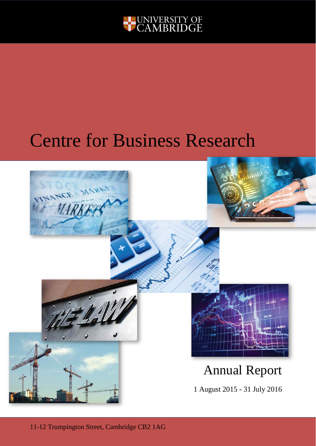

# Centre for Business Research

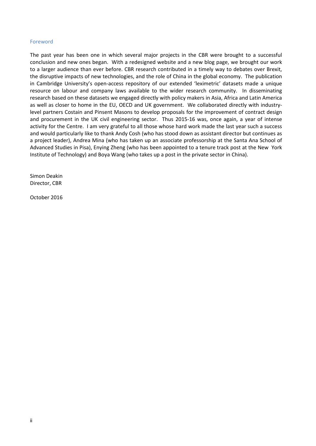# Foreword

The past year has been one in which several major projects in the CBR were brought to a successful conclusion and new ones began. With a redesigned website and a new blog page, we brought our work to a larger audience than ever before. CBR research contributed in a timely way to debates over Brexit, the disruptive impacts of new technologies, and the role of China in the global economy. The publication in Cambridge University's open-access repository of our extended 'leximetric' datasets made a unique resource on labour and company laws available to the wider research community. In disseminating research based on these datasets we engaged directly with policy makers in Asia, Africa and Latin America as well as closer to home in the EU, OECD and UK government. We collaborated directly with industrylevel partners Costain and Pinsent Masons to develop proposals for the improvement of contract design and procurement in the UK civil engineering sector. Thus 2015-16 was, once again, a year of intense activity for the Centre. I am very grateful to all those whose hard work made the last year such a success and would particularly like to thank Andy Cosh (who has stood down as assistant director but continues as a project leader), Andrea Mina (who has taken up an associate professorship at the Santa Ana School of Advanced Studies in Pisa), Enying Zheng (who has been appointed to a tenure track post at the New York Institute of Technology) and Boya Wang (who takes up a post in the private sector in China).

Simon Deakin Director, CBR

October 2016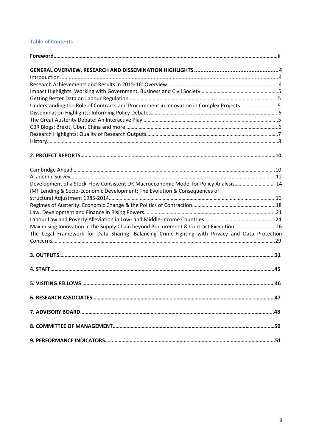# **Table of Contents**

| Understanding the Role of Contracts and Procurement in Innovation in Complex Projects5          |  |
|-------------------------------------------------------------------------------------------------|--|
|                                                                                                 |  |
|                                                                                                 |  |
|                                                                                                 |  |
|                                                                                                 |  |
|                                                                                                 |  |
|                                                                                                 |  |
|                                                                                                 |  |
|                                                                                                 |  |
| Development of a Stock-Flow Consistent UK Macroeconomic Model for Policy Analysis 14            |  |
| IMF Lending & Socio-Economic Development: The Evolution & Consequences of                       |  |
|                                                                                                 |  |
|                                                                                                 |  |
|                                                                                                 |  |
|                                                                                                 |  |
| Maximising Innovation in the Supply Chain beyond Procurement & Contract Execution26             |  |
| The Legal Framework for Data Sharing: Balancing Crime-Fighting with Privacy and Data Protection |  |
|                                                                                                 |  |
|                                                                                                 |  |
|                                                                                                 |  |
|                                                                                                 |  |
|                                                                                                 |  |
|                                                                                                 |  |
|                                                                                                 |  |
|                                                                                                 |  |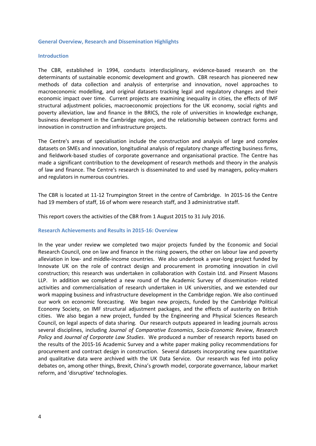#### <span id="page-3-0"></span>**General Overview, Research and Dissemination Highlights**

#### <span id="page-3-1"></span>**Introduction**

The CBR, established in 1994, conducts interdisciplinary, evidence-based research on the determinants of sustainable economic development and growth. CBR research has pioneered new methods of data collection and analysis of enterprise and innovation, novel approaches to macroeconomic modelling, and original datasets tracking legal and regulatory changes and their economic impact over time. Current projects are examining inequality in cities, the effects of IMF structural adjustment policies, macroeconomic projections for the UK economy, social rights and poverty alleviation, law and finance in the BRICS, the role of universities in knowledge exchange, business development in the Cambridge region, and the relationship between contract forms and innovation in construction and infrastructure projects.

The Centre's areas of specialisation include the construction and analysis of large and complex datasets on SMEs and innovation, longitudinal analysis of regulatory change affecting business firms, and fieldwork-based studies of corporate governance and organisational practice. The Centre has made a significant contribution to the development of research methods and theory in the analysis of law and finance. The Centre's research is disseminated to and used by managers, policy-makers and regulators in numerous countries.

The CBR is located at 11-12 Trumpington Street in the centre of Cambridge. In 2015-16 the Centre had 19 members of staff, 16 of whom were research staff, and 3 administrative staff.

This report covers the activities of the CBR from 1 August 2015 to 31 July 2016.

#### <span id="page-3-2"></span>**Research Achievements and Results in 2015-16: Overview**

In the year under review we completed two major projects funded by the Economic and Social Research Council, one on law and finance in the rising powers, the other on labour law and poverty alleviation in low- and middle-income countries. We also undertook a year-long project funded by Innovate UK on the role of contract design and procurement in promoting innovation in civil construction; this research was undertaken in collaboration with Costain Ltd. and Pinsent Masons LLP. In addition we completed a new round of the Academic Survey of dissemination- related activities and commercialisation of research undertaken in UK universities, and we extended our work mapping business and infrastructure development in the Cambridge region. We also continued our work on economic forecasting. We began new projects, funded by the Cambridge Political Economy Society, on IMF structural adjustment packages, and the effects of austerity on British cities. We also began a new project, funded by the Engineering and Physical Sciences Research Council, on legal aspects of data sharing. Our research outputs appeared in leading journals across several disciplines, including *Journal of Comparative Economics*, *Socio-Economic Review*, *Research Policy* and *Journal of Corporate Law Studies*. We produced a number of research reports based on the results of the 2015-16 Academic Survey and a white paper making policy recommendations for procurement and contract design in construction. Several datasets incorporating new quantitative and qualitative data were archived with the UK Data Service. Our research was fed into policy debates on, among other things, Brexit, China's growth model, corporate governance, labour market reform, and 'disruptive' technologies.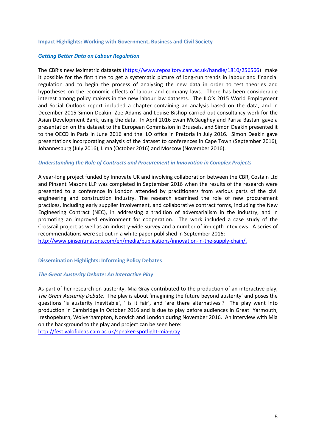## <span id="page-4-0"></span>**Impact Highlights: Working with Government, Business and Civil Society**

# *Getting Better Data on Labour Regulation*

The CBR's new leximetric datasets [\(https://www.repository.cam.ac.uk/handle/1810/256566\)](https://www.repository.cam.ac.uk/handle/1810/256566) make it possible for the first time to get a systematic picture of long-run trends in labour and financial regulation and to begin the process of analysing the new data in order to test theories and hypotheses on the economic effects of labour and company laws. There has been considerable interest among policy makers in the new labour law datasets. The ILO's 2015 World Employment and Social Outlook report included a chapter containing an analysis based on the data, and in December 2015 Simon Deakin, Zoe Adams and Louise Bishop carried out consultancy work for the Asian Development Bank, using the data. In April 2016 Ewan McGaughey and Parisa Bastani gave a presentation on the dataset to the European Commission in Brussels, and Simon Deakin presented it to the OECD in Paris in June 2016 and the ILO office in Pretoria in July 2016. Simon Deakin gave presentations incorporating analysis of the dataset to conferences in Cape Town (September 2016), Johannesburg (July 2016), Lima (October 2016) and Moscow (November 2016).

# *Understanding the Role of Contracts and Procurement in Innovation in Complex Projects*

A year-long project funded by Innovate UK and involving collaboration between the CBR, Costain Ltd and Pinsent Masons LLP was completed in September 2016 when the results of the research were presented to a conference in London attended by practitioners from various parts of the civil engineering and construction industry. The research examined the role of new procurement practices, including early supplier involvement, and collaborative contract forms, including the New Engineering Contract (NEC), in addressing a tradition of adversarialism in the industry, and in promoting an improved environment for cooperation. The work included a case study of the Crossrail project as well as an industry-wide survey and a number of in-depth inteviews. A series of recommendations were set out in a white paper published in September 2016:

[http://www.pinsentmasons.com/en/media/publications/innovation-in-the-supply-chain/.](http://www.pinsentmasons.com/en/media/publications/innovation-in-the-supply-chain/)

<span id="page-4-1"></span>**Dissemination Highlights: Informing Policy Debates** 

# *The Great Austerity Debate: An Interactive Play*

As part of her research on austerity, Mia Gray contributed to the production of an interactive play, *The Great Austerity Debate*. The play is about 'imagining the future beyond austerity' and poses the questions 'is austerity inevitable', ' is it fair', and 'are there alternatives'? The play went into production in Cambridge in October 2016 and is due to play before audiences in Great Yarmouth, Ireshopeburn, Wolverhampton, Norwich and London during November 2016. An interview with Mia on the background to the play and project can be seen here:

[http://festivalofideas.cam.ac.uk/speaker-spotlight-mia-gray.](http://festivalofideas.cam.ac.uk/speaker-spotlight-mia-gray)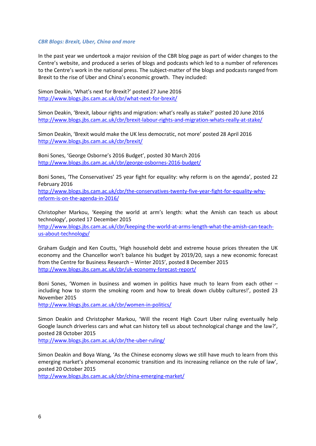# *CBR Blogs: Brexit, Uber, China and more*

In the past year we undertook a major revision of the CBR blog page as part of wider changes to the Centre's website, and produced a series of blogs and podcasts which led to a number of references to the Centre's work in the national press. The subject-matter of the blogs and podcasts ranged from Brexit to the rise of Uber and China's economic growth. They included:

Simon Deakin, 'What's next for Brexit?' posted 27 June 2016 <http://www.blogs.jbs.cam.ac.uk/cbr/what-next-for-brexit/>

Simon Deakin, 'Brexit, labour rights and migration: what's really as stake?' posted 20 June 2016 <http://www.blogs.jbs.cam.ac.uk/cbr/brexit-labour-rights-and-migration-whats-really-at-stake/>

Simon Deakin, 'Brexit would make the UK less democratic, not more' posted 28 April 2016 <http://www.blogs.jbs.cam.ac.uk/cbr/brexit/>

Boni Sones, 'George Osborne's 2016 Budget', posted 30 March 2016 <http://www.blogs.jbs.cam.ac.uk/cbr/george-osbornes-2016-budget/>

Boni Sones, 'The Conservatives' 25 year fight for equality: why reform is on the agenda', posted 22 February 2016

[http://www.blogs.jbs.cam.ac.uk/cbr/the-conservatives-twenty-five-year-fight-for-equality-why](http://www.blogs.jbs.cam.ac.uk/cbr/the-conservatives-twenty-five-year-fight-for-equality-why-reform-is-on-the-agenda-in-2016/)[reform-is-on-the-agenda-in-2016/](http://www.blogs.jbs.cam.ac.uk/cbr/the-conservatives-twenty-five-year-fight-for-equality-why-reform-is-on-the-agenda-in-2016/)

Christopher Markou, 'Keeping the world at arm's length: what the Amish can teach us about technology', posted 17 December 2015

[http://www.blogs.jbs.cam.ac.uk/cbr/keeping-the-world-at-arms-length-what-the-amish-can-teach](http://www.blogs.jbs.cam.ac.uk/cbr/keeping-the-world-at-arms-length-what-the-amish-can-teach-us-about-technology/)[us-about-technology/](http://www.blogs.jbs.cam.ac.uk/cbr/keeping-the-world-at-arms-length-what-the-amish-can-teach-us-about-technology/)

Graham Gudgin and Ken Coutts, 'High household debt and extreme house prices threaten the UK economy and the Chancellor won't balance his budget by 2019/20, says a new economic forecast from the Centre for Business Research – Winter 2015', posted 8 December 2015 <http://www.blogs.jbs.cam.ac.uk/cbr/uk-economy-forecast-report/>

Boni Sones, 'Women in business and women in politics have much to learn from each other – including how to storm the smoking room and how to break down clubby cultures!', posted 23 November 2015

<http://www.blogs.jbs.cam.ac.uk/cbr/women-in-politics/>

Simon Deakin and Christopher Markou, 'Will the recent High Court Uber ruling eventually help Google launch driverless cars and what can history tell us about technological change and the law?', posted 28 October 2015

<http://www.blogs.jbs.cam.ac.uk/cbr/the-uber-ruling/>

Simon Deakin and Boya Wang, 'As the Chinese economy slows we still have much to learn from this emerging market's phenomenal economic transition and its increasing reliance on the rule of law', posted 20 October 2015

<http://www.blogs.jbs.cam.ac.uk/cbr/china-emerging-market/>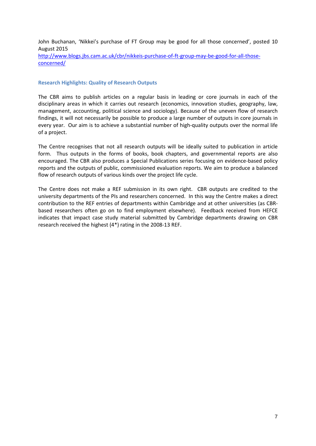John Buchanan, 'Nikkei's purchase of FT Group may be good for all those concerned', posted 10 August 2015 [http://www.blogs.jbs.cam.ac.uk/cbr/nikkeis-purchase-of-ft-group-may-be-good-for-all-those](http://www.blogs.jbs.cam.ac.uk/cbr/nikkeis-purchase-of-ft-group-may-be-good-for-all-those-concerned/)[concerned/](http://www.blogs.jbs.cam.ac.uk/cbr/nikkeis-purchase-of-ft-group-may-be-good-for-all-those-concerned/)

# **Research Highlights: Quality of Research Outputs**

The CBR aims to publish articles on a regular basis in leading or core journals in each of the disciplinary areas in which it carries out research (economics, innovation studies, geography, law, management, accounting, political science and sociology). Because of the uneven flow of research findings, it will not necessarily be possible to produce a large number of outputs in core journals in every year. Our aim is to achieve a substantial number of high-quality outputs over the normal life of a project.

The Centre recognises that not all research outputs will be ideally suited to publication in article form. Thus outputs in the forms of books, book chapters, and governmental reports are also encouraged. The CBR also produces a Special Publications series focusing on evidence-based policy reports and the outputs of public, commissioned evaluation reports. We aim to produce a balanced flow of research outputs of various kinds over the project life cycle.

The Centre does not make a REF submission in its own right. CBR outputs are credited to the university departments of the PIs and researchers concerned. In this way the Centre makes a direct contribution to the REF entries of departments within Cambridge and at other universities (as CBRbased researchers often go on to find employment elsewhere). Feedback received from HEFCE indicates that impact case study material submitted by Cambridge departments drawing on CBR research received the highest (4\*) rating in the 2008-13 REF.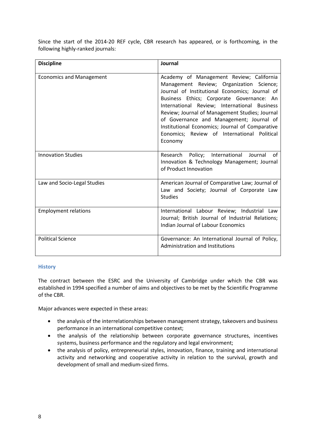Since the start of the 2014-20 REF cycle, CBR research has appeared, or is forthcoming, in the following highly-ranked journals:

| <b>Discipline</b>               | Journal                                                                                                                                                                                                                                                                                                                                                                                                                                        |
|---------------------------------|------------------------------------------------------------------------------------------------------------------------------------------------------------------------------------------------------------------------------------------------------------------------------------------------------------------------------------------------------------------------------------------------------------------------------------------------|
| <b>Economics and Management</b> | Academy of Management Review; California<br>Management Review; Organization Science;<br>Journal of Institutional Economics; Journal of<br>Business Ethics; Corporate Governance: An<br>International Review; International Business<br>Review; Journal of Management Studies; Journal<br>of Governance and Management; Journal of<br>Institutional Economics; Journal of Comparative<br>Eonomics; Review of International Political<br>Economy |
| <b>Innovation Studies</b>       | Research Policy; International Journal<br>of<br>Innovation & Technology Management; Journal<br>of Product Innovation                                                                                                                                                                                                                                                                                                                           |
| Law and Socio-Legal Studies     | American Journal of Comparative Law; Journal of<br>Law and Society; Journal of Corporate Law<br><b>Studies</b>                                                                                                                                                                                                                                                                                                                                 |
| <b>Employment relations</b>     | International Labour Review; Industrial Law<br>Journal; British Journal of Industrial Relations;<br>Indian Journal of Labour Economics                                                                                                                                                                                                                                                                                                         |
| <b>Political Science</b>        | Governance: An International Journal of Policy,<br>Administration and Institutions                                                                                                                                                                                                                                                                                                                                                             |

# **History**

The contract between the ESRC and the University of Cambridge under which the CBR was established in 1994 specified a number of aims and objectives to be met by the Scientific Programme of the CBR.

Major advances were expected in these areas:

- the analysis of the interrelationships between management strategy, takeovers and business performance in an international competitive context;
- the analysis of the relationship between corporate governance structures, incentives systems, business performance and the regulatory and legal environment;
- the analysis of policy, entrepreneurial styles, innovation, finance, training and international activity and networking and cooperative activity in relation to the survival, growth and development of small and medium-sized firms.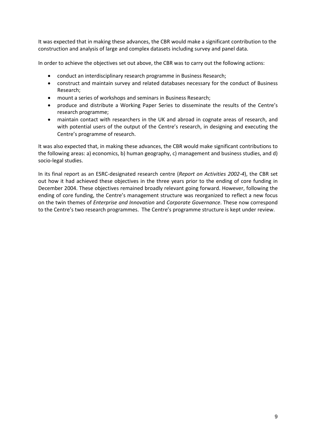It was expected that in making these advances, the CBR would make a significant contribution to the construction and analysis of large and complex datasets including survey and panel data.

In order to achieve the objectives set out above, the CBR was to carry out the following actions:

- conduct an interdisciplinary research programme in Business Research;
- construct and maintain survey and related databases necessary for the conduct of Business Research;
- mount a series of workshops and seminars in Business Research;
- produce and distribute a Working Paper Series to disseminate the results of the Centre's research programme;
- maintain contact with researchers in the UK and abroad in cognate areas of research, and with potential users of the output of the Centre's research, in designing and executing the Centre's programme of research.

It was also expected that, in making these advances, the CBR would make significant contributions to the following areas: a) economics, b) human geography, c) management and business studies, and d) socio-legal studies.

In its final report as an ESRC-designated research centre (*Report on Activities 2002-4*), the CBR set out how it had achieved these objectives in the three years prior to the ending of core funding in December 2004. These objectives remained broadly relevant going forward. However, following the ending of core funding, the Centre's management structure was reorganized to reflect a new focus on the twin themes of *Enterprise and Innovation* and *Corporate Governance*. These now correspond to the Centre's two research programmes. The Centre's programme structure is kept under review.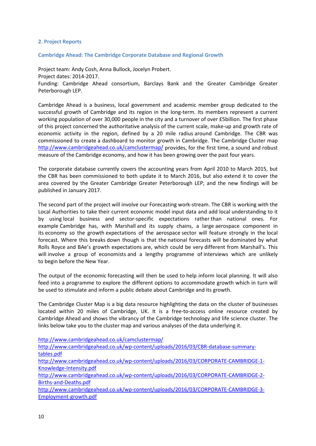# **2. Project Reports**

**Cambridge Ahead: The Cambridge Corporate Database and Regional Growth**

Project team: [Andy Cosh, Anna Bullock, Jocelyn Probert.](http://www.cbr.cam.ac.uk/about_us/hughes.htm) Project dates: 2014-2017. Funding: Cambridge Ahead consortium, Barclays Bank and the Greater Cambridge Greater Peterborough LEP.

Cambridge Ahead is a business, local government and academic member group dedicated to the successful growth of Cambridge and its region in the long-term. Its members represent a current working population of over 30,000 people in the city and a turnover of over £5billion. The first phase of this project concerned the authoritative analysis of the current scale, make-up and growth rate of economic activity in the region, defined by a 20 mile radius around Cambridge. The CBR was commissioned to create a dashboard to monitor growth in Cambridge. The Cambridge Cluster map <http://www.cambridgeahead.co.uk/camclustermap/> provides, for the first time, a sound and robust measure of the Cambridge economy, and how it has been growing over the past four years.

The corporate database currently covers the accounting years from April 2010 to March 2015, but the CBR has been commissioned to both update it to March 2016, but also extend it to cover the area covered by the Greater Cambridge Greater Peterborough LEP; and the new findings will be published in January 2017.

The second part of the project will involve our Forecasting work-stream. The CBR is working with the Local Authorities to take their current economic model input data and add local understanding to it by using local business and sector-specific expectations rather than national ones. For example Cambridge has, with Marshall and its supply chains, a large aerospace component in its economy so the growth expectations of the aerospace sector will feature strongly in the local forecast. Where this breaks down though is that the national forecasts will be dominated by what Rolls Royce and BAe's growth expectations are, which could be very different from Marshall's. This will involve a group of economists and a lengthy programme of interviews which are unlikely to begin before the New Year.

The output of the economic forecasting will then be used to help inform local planning. It will also feed into a programme to explore the different options to accommodate growth which in turn will be used to stimulate and inform a public debate about Cambridge and its growth.

The Cambridge Cluster Map is a big data resource highlighting the data on the cluster of businesses located within 20 miles of Cambridge, UK. It is a free-to-access online resource created by Cambridge Ahead and shows the vibrancy of the Cambridge technology and life science cluster. The links below take you to the cluster map and various analyses of the data underlying it.

<http://www.cambridgeahead.co.uk/camclustermap/> [http://www.cambridgeahead.co.uk/wp-content/uploads/2016/03/CBR-database-summary](http://www.cambridgeahead.co.uk/wp-content/uploads/2016/03/CBR-database-summary-tables.pdf)[tables.pdf](http://www.cambridgeahead.co.uk/wp-content/uploads/2016/03/CBR-database-summary-tables.pdf) [http://www.cambridgeahead.co.uk/wp-content/uploads/2016/03/CORPORATE-CAMBRIDGE-1-](http://www.cambridgeahead.co.uk/wp-content/uploads/2016/03/CORPORATE-CAMBRIDGE-1-Knowledge-Intensity.pdf) [Knowledge-Intensity.pdf](http://www.cambridgeahead.co.uk/wp-content/uploads/2016/03/CORPORATE-CAMBRIDGE-1-Knowledge-Intensity.pdf) [http://www.cambridgeahead.co.uk/wp-content/uploads/2016/03/CORPORATE-CAMBRIDGE-2-](http://www.cambridgeahead.co.uk/wp-content/uploads/2016/03/CORPORATE-CAMBRIDGE-2-Births-and-Deaths.pdf) [Births-and-Deaths.pdf](http://www.cambridgeahead.co.uk/wp-content/uploads/2016/03/CORPORATE-CAMBRIDGE-2-Births-and-Deaths.pdf) [http://www.cambridgeahead.co.uk/wp-content/uploads/2016/03/CORPORATE-CAMBRIDGE-3-](http://www.cambridgeahead.co.uk/wp-content/uploads/2016/03/CORPORATE-CAMBRIDGE-3-Employment-growth.pdf) [Employment-growth.pdf](http://www.cambridgeahead.co.uk/wp-content/uploads/2016/03/CORPORATE-CAMBRIDGE-3-Employment-growth.pdf)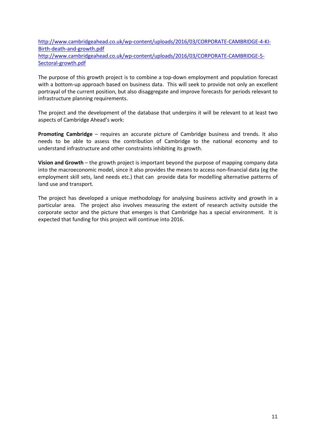[http://www.cambridgeahead.co.uk/wp-content/uploads/2016/03/CORPORATE-CAMBRIDGE-4-KI-](http://www.cambridgeahead.co.uk/wp-content/uploads/2016/03/CORPORATE-CAMBRIDGE-4-KI-Birth-death-and-growth.pdf)[Birth-death-and-growth.pdf](http://www.cambridgeahead.co.uk/wp-content/uploads/2016/03/CORPORATE-CAMBRIDGE-4-KI-Birth-death-and-growth.pdf) [http://www.cambridgeahead.co.uk/wp-content/uploads/2016/03/CORPORATE-CAMBRIDGE-5-](http://www.cambridgeahead.co.uk/wp-content/uploads/2016/03/CORPORATE-CAMBRIDGE-5-Sectoral-growth.pdf) [Sectoral-growth.pdf](http://www.cambridgeahead.co.uk/wp-content/uploads/2016/03/CORPORATE-CAMBRIDGE-5-Sectoral-growth.pdf)

The purpose of this growth project is to combine a top-down employment and population forecast with a bottom-up approach based on business data. This will seek to provide not only an excellent portrayal of the current position, but also disaggregate and improve forecasts for periods relevant to infrastructure planning requirements.

The project and the development of the database that underpins it will be relevant to at least two aspects of Cambridge Ahead's work:

**Promoting Cambridge** – requires an accurate picture of Cambridge business and trends. It also needs to be able to assess the contribution of Cambridge to the national economy and to understand infrastructure and other constraints inhibiting its growth.

**Vision and Growth** – the growth project is important beyond the purpose of mapping company data into the macroeconomic model, since it also provides the means to access non-financial data (eg the employment skill sets, land needs etc.) that can provide data for modelling alternative patterns of land use and transport.

The project has developed a unique methodology for analysing business activity and growth in a particular area. The project also involves measuring the extent of research activity outside the corporate sector and the picture that emerges is that Cambridge has a special environment. It is expected that funding for this project will continue into 2016.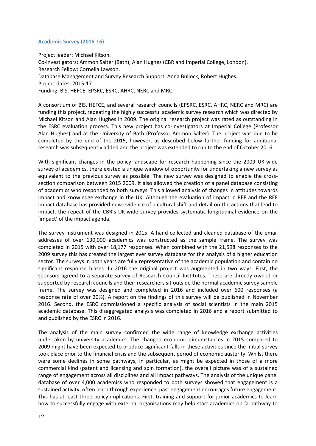# **Academic Survey (2015-16)**

Project leader: Michael Kitson. Co-investigators: Ammon Salter (Bath), Alan Hughes (CBR and Imperial College, London). Research Fellow: Cornelia Lawson. Database Management and Survey Research Support: Anna Bullock, Robert Hughes. Project dates: 2015-17 . Funding: BIS, HEFCE, EPSRC, ESRC, AHRC, NERC and MRC.

A consortium of BIS, HEFCE, and several research councils (EPSRC, ESRC, AHRC, NERC and MRC) are funding this project, repeating the highly successful academic survey research which was directed by Michael Kitson and Alan Hughes in 2009. The original research project was rated as outstanding in the ESRC evaluation process. This new project has co-investigators at Imperial College (Professor Alan Hughes) and at the University of Bath (Professor Ammon Salter). The project was due to be completed by the end of the 2015, however, as described below further funding for additional research was subsequently added and the project was extended to run to the end of October 2016.

With significant changes in the policy landscape for research happening since the 2009 UK-wide survey of academics, there existed a unique window of opportunity for undertaking a new survey as equivalent to the previous survey as possible. The new survey was designed to enable the crosssection comparison between 2015 2009. It also allowed the creation of a panel database consisting of academics who responded to both surveys. This allowed analysis of changes in attitudes towards impact and knowledge exchange in the UK. Although the evaluation of impact in REF and the REF impact database has provided new evidence of a cultural shift and detail on the actions that lead to impact, the repeat of the CBR's UK-wide survey provides systematic longitudinal evidence on the 'impact' of the impact agenda.

The survey instrument was designed in 2015. A hand collected and cleaned database of the email addresses of over 130,000 academics was constructed as the sample frame. The survey was completed in 2015 with over 18,177 responses. When combined with the 21,598 responses to the 2009 survey this has created the largest ever survey database for the analysis of a higher education sector. The surveys in both years are fully representative of the academic population and contain no significant response biases. In 2016 the original project was augmented in two ways. First, the sponsors agreed to a separate survey of Research Council Institutes. These are directly owned or supported by research councils and their researchers sit outside the normal academic survey sample frame. The survey was designed and completed in 2016 and included over 600 responses (a response rate of over 20%). A report on the findings of this survey will be published in November 2016. Second, the ESRC commissioned a specific analysis of social scientists in the main 2015 academic database. This disaggregated analysis was completed in 2016 and a report submitted to and published by the ESRC in 2016.

The analysis of the main survey confirmed the wide range of knowledge exchange activities undertaken by university academics. The changed economic circumstances in 2015 compared to 2009 might have been expected to produce significant falls in these activities since the initial survey took place prior to the financial crisis and the subsequent period of economic austerity. Whilst there were some declines in some pathways, in particular, as might be expected in those of a more commercial kind (patent and licensing and spin formation), the overall picture was of a sustained range of engagement across all disciplines and all impact pathways. The analysis of the unique panel database of over 4,000 academics who responded to both surveys showed that engagement is a sustained activity, often learn through experience: past engagement encourages future engagement. This has at least three policy implications. First, training and support for junior academics to learn how to successfully engage with external organisations may help start academics on 'a pathway to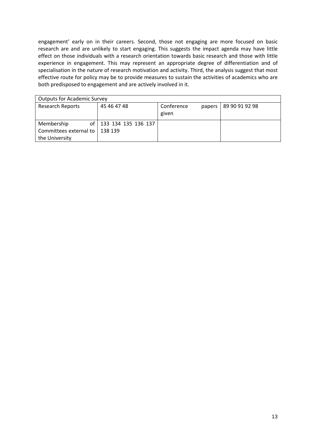engagement' early on in their careers. Second, those not engaging are more focused on basic research are and are unlikely to start engaging. This suggests the impact agenda may have little effect on those individuals with a research orientation towards basic research and those with little experience in engagement. This may represent an appropriate degree of differentiation and of specialisation in the nature of research motivation and activity. Third, the analysis suggest that most effective route for policy may be to provide measures to sustain the activities of academics who are both predisposed to engagement and are actively involved in it.

| <b>Outputs for Academic Survey</b> |                          |                      |                |  |  |  |  |  |  |  |  |  |  |
|------------------------------------|--------------------------|----------------------|----------------|--|--|--|--|--|--|--|--|--|--|
| <b>Research Reports</b>            | 45 46 47 48              | Conference<br>papers | 89 90 91 92 98 |  |  |  |  |  |  |  |  |  |  |
|                                    |                          | given                |                |  |  |  |  |  |  |  |  |  |  |
| Membership                         | of   133 134 135 136 137 |                      |                |  |  |  |  |  |  |  |  |  |  |
| Committees external to             | 138 139                  |                      |                |  |  |  |  |  |  |  |  |  |  |
| the University                     |                          |                      |                |  |  |  |  |  |  |  |  |  |  |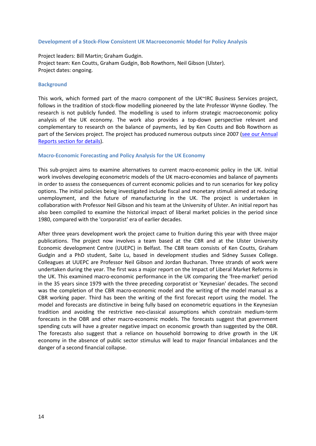## **Development of a Stock-Flow Consistent UK Macroeconomic Model for Policy Analysis**

Project leaders: Bill Martin; Graham Gudgin. Project team: Ken Coutts, Graham Gudgin, Bob Rowthorn, Neil Gibson (Ulster). Project dates: ongoing.

#### **Background**

This work, which formed part of the macro component of the UK~IRC Business Services project, follows in the tradition of stock-flow modelling pioneered by the late Professor Wynne Godley. The research is not publicly funded. The modelling is used to inform strategic macroeconomic policy analysis of the UK economy. The work also provides a top-down perspective relevant and complementary to research on the balance of payments, led by Ken Coutts and Bob Rowthorn as part of the Services project. The project has produced numerous outputs since 2007 [\(see our Annual](http://www.cbr.cam.ac.uk/about-us/annual-reports/)  [Reports section for details\)](http://www.cbr.cam.ac.uk/about-us/annual-reports/).

## **Macro-Economic Forecasting and Policy Analysis for the UK Economy**

This sub-project aims to examine alternatives to current macro-economic policy in the UK. Initial work involves developing econometric models of the UK macro-economies and balance of payments in order to assess the consequences of current economic policies and to run scenarios for key policy options. The initial policies being investigated include fiscal and monetary stimuli aimed at reducing unemployment, and the future of manufacturing in the UK. The project is undertaken in collaboration with Professor Neil Gibson and his team at the University of Ulster. An initial report has also been compiled to examine the historical impact of liberal market policies in the period since 1980, compared with the 'corporatist' era of earlier decades.

After three years development work the project came to fruition during this year with three major publications. The project now involves a team based at the CBR and at the Ulster University Economic development Centre (UUEPC) in Belfast. The CBR team consists of Ken Coutts, Graham Gudgin and a PhD student, Saite Lu, based in development studies and Sidney Sussex College. Colleagues at UUEPC are Professor Neil Gibson and Jordan Buchanan. Three strands of work were undertaken during the year. The first was a major report on the Impact of Liberal Market Reforms in the UK. This examined macro-economic performance in the UK comparing the 'free-market' period in the 35 years since 1979 with the three preceding corporatist or 'Keynesian' decades. The second was the completion of the CBR macro-economic model and the writing of the model manual as a CBR working paper. Third has been the writing of the first forecast report using the model. The model and forecasts are distinctive in being fully based on econometric equations in the Keynesian tradition and avoiding the restrictive neo-classical assumptions which constrain medium-term forecasts in the OBR and other macro-economic models. The forecasts suggest that government spending cuts will have a greater negative impact on economic growth than suggested by the OBR. The forecasts also suggest that a reliance on household borrowing to drive growth in the UK economy in the absence of public sector stimulus will lead to major financial imbalances and the danger of a second financial collapse.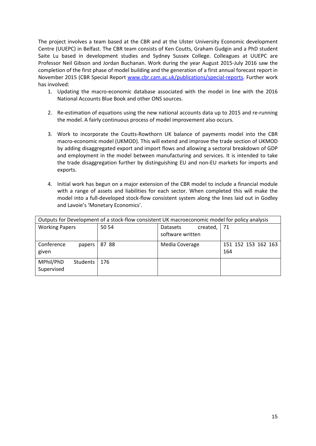The project involves a team based at the CBR and at the Ulster University Economic development Centre (UUEPC) in Belfast. The CBR team consists of Ken Coutts, Graham Gudgin and a PhD student Saite Lu based in development studies and Sydney Sussex College. Colleagues at UUEPC are Professor Neil Gibson and Jordan Buchanan. Work during the year August 2015-July 2016 saw the completion of the first phase of model building and the generation of a first annual forecast report in November 2015 (CBR Special Report [www.cbr.cam.ac.uk/publications/special-reports.](http://www.cbr.cam.ac.uk/publications/special-reports) Further work has involved:

- 1. Updating the macro-economic database associated with the model in line with the 2016 National Accounts Blue Book and other ONS sources.
- 2. Re-estimation of equations using the new national accounts data up to 2015 and re-running the model. A fairly continuous process of model improvement also occurs.
- 3. Work to incorporate the Coutts-Rowthorn UK balance of payments model into the CBR macro-economic model (UKMOD). This will extend and improve the trade section of UKMOD by adding disaggregated export and import flows and allowing a sectoral breakdown of GDP and employment in the model between manufacturing and services. It is intended to take the trade disaggregation further by distinguishing EU and non-EU markets for imports and exports.
- 4. Initial work has begun on a major extension of the CBR model to include a financial module with a range of assets and liabilities for each sector. When completed this will make the model into a full-developed stock-flow consistent system along the lines laid out in Godley and Lavoie's 'Monetary Economics'.

| Outputs for Development of a stock-flow consistent UK macroeconomic model for policy analysis |       |                      |                     |  |  |  |  |  |  |  |  |  |
|-----------------------------------------------------------------------------------------------|-------|----------------------|---------------------|--|--|--|--|--|--|--|--|--|
| <b>Working Papers</b>                                                                         | 50 54 | created,<br>Datasets | $\vert$ 71          |  |  |  |  |  |  |  |  |  |
|                                                                                               |       | software written     |                     |  |  |  |  |  |  |  |  |  |
| Conference<br>papers                                                                          | 87 88 | Media Coverage       | 151 152 153 162 163 |  |  |  |  |  |  |  |  |  |
| given                                                                                         |       |                      | 164                 |  |  |  |  |  |  |  |  |  |
| MPhil/PhD<br>Students                                                                         | 176   |                      |                     |  |  |  |  |  |  |  |  |  |
| Supervised                                                                                    |       |                      |                     |  |  |  |  |  |  |  |  |  |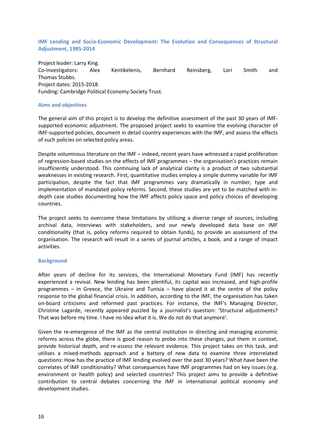**IMF Lending and [Socio-Economic Development: The Evolution and](http://www.cbr.cam.ac.uk/research/research-projects/imf-lending-socio-economic-development-the-evolution-consequences-of-structural-adjustment-1985-2014/) Consequences of Structural [Adjustment, 1985-2014](http://www.cbr.cam.ac.uk/research/research-projects/imf-lending-socio-economic-development-the-evolution-consequences-of-structural-adjustment-1985-2014/)**

Project leader: Larry King. Co-investigators: [Alex Kentikelenis,](http://www.cbr.cam.ac.uk/people/research-associates/alex-kentikelenis/) [Bernhard Reinsberg,](http://www.cbr.cam.ac.uk/people/the-team/bernhard-reinsberg/) [Lori Smith](http://www.cbr.cam.ac.uk/people/the-team/lori-smith/) and [Thomas Stubbs.](http://www.cbr.cam.ac.uk/people/research-associates/thomas-stubbs/) Project dates: 2015-2018. Funding: Cambridge Political Economy Society Trust.

# **Aims and objectives**

The general aim of this project is to develop the definitive assessment of the past 30 years of IMFsupported economic adjustment. The proposed project seeks to examine the evolving character of IMF-supported policies, document in detail country experiences with the IMF, and assess the effects of such policies on selected policy areas.

Despite voluminous literature on the IMF – indeed, recent years have witnessed a rapid proliferation of regression-based studies on the effects of IMF programmes – the organisation's practices remain insufficiently understood. This continuing lack of analytical clarity is a product of two substantial weaknesses in existing research. First, quantitative studies employ a simple dummy variable for IMF participation, despite the fact that IMF programmes vary dramatically in number, type and implementation of mandated policy reforms. Second, these studies are yet to be matched with indepth case studies documenting how the IMF affects policy space and policy choices of developing countries.

The project seeks to overcome these limitations by utilising a diverse range of sources, including archival data, interviews with stakeholders, and our newly developed data base on IMF conditionality (that is, policy reforms required to obtain funds), to provide an assessment of the organisation. The research will result in a series of journal articles, a book, and a range of impact activities.

## **Background**

After years of decline for its services, the International Monetary Fund (IMF) has recently experienced a revival. New lending has been plentiful, its capital was increased, and high-profile programmes – in Greece, the Ukraine and Tunisia – have placed it at the centre of the policy response to the global financial crisis. In addition, according to the IMF, the organisation has taken on-board criticisms and reformed past practices. For instance, the IMF's Managing Director, Christine Lagarde, recently appeared puzzled by a journalist's question: 'Structural adjustments? That was before my time. I have no idea what it is. We do not do that anymore'.

Given the re-emergence of the IMF as the central institution in directing and managing economic reforms across the globe, there is good reason to probe into these changes, put them in context, provide historical depth, and re-assess the relevant evidence. This project takes on this task, and utilises a mixed-methods approach and a battery of new data to examine three interrelated questions: How has the practice of IMF lending evolved over the past 30 years? What have been the correlates of IMF conditionality? What consequences have IMF programmes had on key issues (e.g. environment or health policy) and selected countries? This project aims to provide a definitive contribution to central debates concerning the IMF in international political economy and development studies.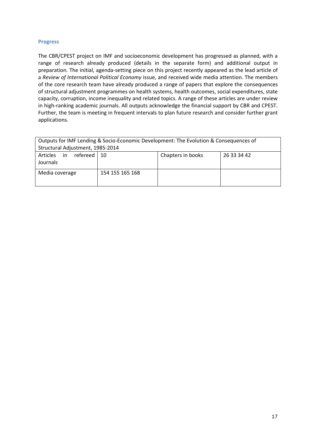# **Progress**

The CBR/CPEST project on IMF and socioeconomic development has progressed as planned, with a range of research already produced (details in the separate form) and additional output in preparation. The initial, agenda-setting piece on this project recently appeared as the lead article of a *Review of International Political Economy* issue, and received wide media attention. The members of the core research team have already produced a range of papers that explore the consequences of structural adjustment programmes on health systems, health outcomes, social expenditures, state capacity, corruption, income inequality and related topics. A range of these articles are under review in high-ranking academic journals. All outputs acknowledge the financial support by CBR and CPEST. Further, the team is meeting in frequent intervals to plan future research and consider further grant applications.

| Outputs for IMF Lending & Socio-Economic Development: The Evolution & Consequences of<br>Structural Adjustment, 1985-2014 |                 |  |  |  |  |  |  |  |  |  |  |
|---------------------------------------------------------------------------------------------------------------------------|-----------------|--|--|--|--|--|--|--|--|--|--|
| refereed  <br>Articles in<br>Chapters in books<br>26 33 34 42<br>10<br>Journals                                           |                 |  |  |  |  |  |  |  |  |  |  |
| Media coverage                                                                                                            | 154 155 165 168 |  |  |  |  |  |  |  |  |  |  |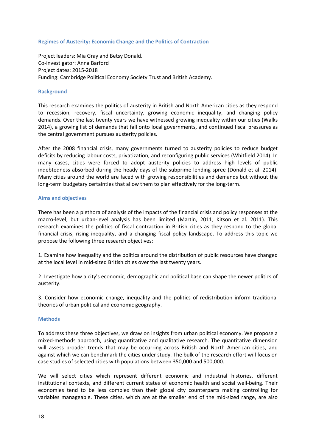# **Regimes [of Austerity: Economic Change and](http://www.cbr.cam.ac.uk/research/research-projects/regimes-of-austerity-economic-change-the-politics-of-contraction/) the Politics of Contraction**

Project leaders: Mia Gray and Betsy Donald. Co-investigator: Anna Barford Project dates: 2015-2018 Funding: Cambridge Political Economy Society Trust and British Academy.

# **Background**

This research examines the politics of austerity in British and North American cities as they respond to recession, recovery, fiscal uncertainty, growing economic inequality, and changing policy demands. Over the last twenty years we have witnessed growing inequality within our cities (Walks 2014), a growing list of demands that fall onto local governments, and continued fiscal pressures as the central government pursues austerity policies.

After the 2008 financial crisis, many governments turned to austerity policies to reduce budget deficits by reducing labour costs, privatization, and reconfiguring public services (Whitfield 2014). In many cases, cities were forced to adopt austerity policies to address high levels of public indebtedness absorbed during the heady days of the subprime lending spree (Donald et al. 2014). Many cities around the world are faced with growing responsibilities and demands but without the long-term budgetary certainties that allow them to plan effectively for the long-term.

# **Aims and objectives**

There has been a plethora of analysis of the impacts of the financial crisis and policy responses at the macro-level, but urban-level analysis has been limited (Martin, 2011; Kitson et al. 2011). This research examines the politics of fiscal contraction in British cities as they respond to the global financial crisis, rising inequality, and a changing fiscal policy landscape. To address this topic we propose the following three research objectives:

1. Examine how inequality and the politics around the distribution of public resources have changed at the local level in mid-sized British cities over the last twenty years.

2. Investigate how a city's economic, demographic and political base can shape the newer politics of austerity.

3. Consider how economic change, inequality and the politics of redistribution inform traditional theories of urban political and economic geography.

## **Methods**

To address these three objectives, we draw on insights from urban political economy. We propose a mixed-methods approach, using quantitative and qualitative research. The quantitative dimension will assess broader trends that may be occurring across British and North American cities, and against which we can benchmark the cities under study. The bulk of the research effort will focus on case studies of selected cities with populations between 350,000 and 500,000.

We will select cities which represent different economic and industrial histories, different institutional contexts, and different current states of economic health and social well-being. Their economies tend to be less complex than their global city counterparts making controlling for variables manageable. These cities, which are at the smaller end of the mid-sized range, are also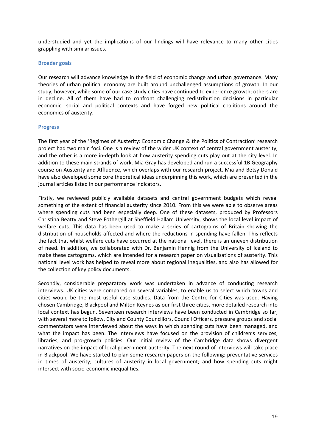understudied and yet the implications of our findings will have relevance to many other cities grappling with similar issues.

## **Broader goals**

Our research will advance knowledge in the field of economic change and urban governance. Many theories of urban political economy are built around unchallenged assumptions of growth. In our study, however, while some of our case study cities have continued to experience growth; others are in decline. All of them have had to confront challenging redistribution decisions in particular economic, social and political contexts and have forged new political coalitions around the economics of austerity.

# **Progress**

The first year of the 'Regimes of Austerity: Economic Change & the Politics of Contraction' research project had two main foci. One is a review of the wider UK context of central government austerity, and the other is a more in-depth look at how austerity spending cuts play out at the city level. In addition to these main strands of work, Mia Gray has developed and run a successful 1B Geography course on Austerity and Affluence, which overlaps with our research project. Mia and Betsy Donald have also developed some core theoretical ideas underpinning this work, which are presented in the journal articles listed in our performance indicators.

Firstly, we reviewed publicly available datasets and central government budgets which reveal something of the extent of financial austerity since 2010. From this we were able to observe areas where spending cuts had been especially deep. One of these datasets, produced by Professors Christina Beatty and Steve Fothergill at Sheffield Hallam University, shows the local level impact of welfare cuts. This data has been used to make a series of cartograms of Britain showing the distribution of households affected and where the reductions in spending have fallen. This reflects the fact that whilst welfare cuts have occurred at the national level, there is an uneven distribution of need. In addition, we collaborated with Dr. Benjamin Hennig from the University of Iceland to make these cartograms, which are intended for a research paper on visualisations of austerity. This national level work has helped to reveal more about regional inequalities, and also has allowed for the collection of key policy documents.

Secondly, considerable preparatory work was undertaken in advance of conducting research interviews. UK cities were compared on several variables, to enable us to select which towns and cities would be the most useful case studies. Data from the Centre for Cities was used. Having chosen Cambridge, Blackpool and Milton Keynes as our first three cities, more detailed research into local context has begun. Seventeen research interviews have been conducted in Cambridge so far, with several more to follow. City and County Councillors, Council Officers, pressure groups and social commentators were interviewed about the ways in which spending cuts have been managed, and what the impact has been. The interviews have focused on the provision of children's services, libraries, and pro-growth policies. Our initial review of the Cambridge data shows divergent narratives on the impact of local government austerity. The next round of interviews will take place in Blackpool. We have started to plan some research papers on the following: preventative services in times of austerity; cultures of austerity in local government; and how spending cuts might intersect with socio-economic inequalities.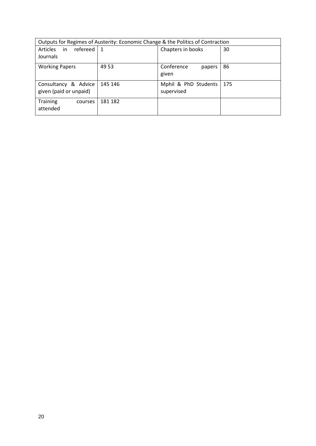| Outputs for Regimes of Austerity: Economic Change & the Politics of Contraction |                              |                                    |     |  |  |  |  |  |  |  |  |
|---------------------------------------------------------------------------------|------------------------------|------------------------------------|-----|--|--|--|--|--|--|--|--|
| refereed  <br>in<br><b>Articles</b><br>Journals                                 | Chapters in books<br>30<br>1 |                                    |     |  |  |  |  |  |  |  |  |
| <b>Working Papers</b>                                                           | 49 53                        | Conference<br>papers<br>given      | 86  |  |  |  |  |  |  |  |  |
| Consultancy & Advice<br>given (paid or unpaid)                                  | 145 146                      | Mphil & PhD Students<br>supervised | 175 |  |  |  |  |  |  |  |  |
| <b>Training</b><br>courses<br>attended                                          | 181 182                      |                                    |     |  |  |  |  |  |  |  |  |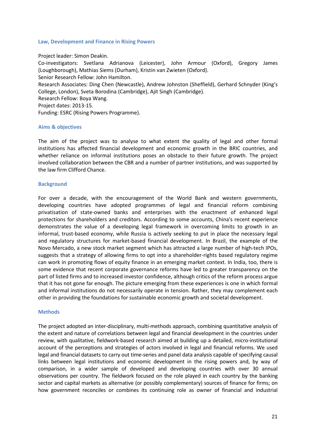## **Law, Development and Finance in Rising Powers**

## Project leader: Simon Deakin.

Co-investigators: Svetlana Adrianova (Leicester), John Armour (Oxford), Gregory James (Loughborough), Mathias Siems (Durham), Kristin van Zwieten (Oxford). Senior Research Fellow: John Hamilton. Research Associates: Ding Chen (Newcastle), Andrew Johnston (Sheffield), Gerhard Schnyder (King's College, London), Sveta Borodina (Cambridge), Ajit Singh (Cambridge). Research Fellow: Boya Wang. Project dates: 2013-15. Funding: ESRC (Rising Powers Programme).

# **Aims & objectives**

The aim of the project was to analyse to what extent the quality of legal and other formal institutions has affected financial development and economic growth in the BRIC countries, and whether reliance on informal institutions poses an obstacle to their future growth. The project involved collaboration between the CBR and a number of partner institutions, and was supported by the law firm Clifford Chance.

# **Background**

For over a decade, with the encouragement of the World Bank and western governments, developing countries have adopted programmes of legal and financial reform combining privatisation of state-owned banks and enterprises with the enactment of enhanced legal protections for shareholders and creditors. According to some accounts, China's recent experience demonstrates the value of a developing legal framework in overcoming limits to growth in an informal, trust-based economy, while Russia is actively seeking to put in place the necessary legal and regulatory structures for market-based financial development. In Brazil, the example of the Novo Mercado, a new stock market segment which has attracted a large number of high-tech IPOs, suggests that a strategy of allowing firms to opt into a shareholder-rights based regulatory regime can work in promoting flows of equity finance in an emerging market context. In India, too, there is some evidence that recent corporate governance reforms have led to greater transparency on the part of listed firms and to increased investor confidence, although critics of the reform process argue that it has not gone far enough. The picture emerging from these experiences is one in which formal and informal institutions do not necessarily operate in tension. Rather, they may complement each other in providing the foundations for sustainable economic growth and societal development.

## **Methods**

The project adopted an inter-disciplinary, multi-methods approach, combining quantitative analysis of the extent and nature of correlations between legal and financial development in the countries under review, with qualitative, fieldwork-based research aimed at building up a detailed, micro-institutional account of the perceptions and strategies of actors involved in legal and financial reforms. We used legal and financial datasets to carry out time-series and panel data analysis capable of specifying causal links between legal institutions and economic development in the rising powers and, by way of comparison, in a wider sample of developed and developing countries with over 30 annual observations per country. The fieldwork focused on the role played in each country by the banking sector and capital markets as alternative (or possibly complementary) sources of finance for firms; on how government reconciles or combines its continuing role as owner of financial and industrial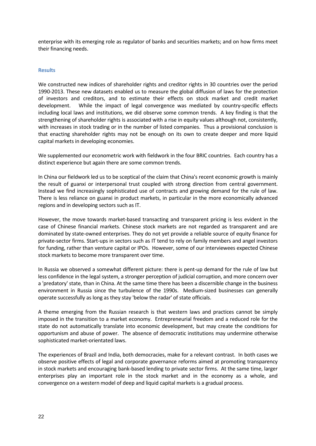enterprise with its emerging role as regulator of banks and securities markets; and on how firms meet their financing needs.

# **Results**

We constructed new indices of shareholder rights and creditor rights in 30 countries over the period 1990-2013. These new datasets enabled us to measure the global diffusion of laws for the protection of investors and creditors, and to estimate their effects on stock market and credit market development. While the impact of legal convergence was mediated by country-specific effects including local laws and institutions, we did observe some common trends. A key finding is that the strengthening of shareholder rights is associated with a rise in equity values although not, consistently, with increases in stock trading or in the number of listed companies. Thus a provisional conclusion is that enacting shareholder rights may not be enough on its own to create deeper and more liquid capital markets in developing economies.

We supplemented our econometric work with fieldwork in the four BRIC countries. Each country has a distinct experience but again there are some common trends.

In China our fieldwork led us to be sceptical of the claim that China's recent economic growth is mainly the result of guanxi or interpersonal trust coupled with strong direction from central government. Instead we find increasingly sophisticated use of contracts and growing demand for the rule of law. There is less reliance on guanxi in product markets, in particular in the more economically advanced regions and in developing sectors such as IT.

However, the move towards market-based transacting and transparent pricing is less evident in the case of Chinese financial markets. Chinese stock markets are not regarded as transparent and are dominated by state-owned enterprises. They do not yet provide a reliable source of equity finance for private-sector firms. Start-ups in sectors such as IT tend to rely on family members and angel investors for funding, rather than venture capital or IPOs. However, some of our interviewees expected Chinese stock markets to become more transparent over time.

In Russia we observed a somewhat different picture: there is pent-up demand for the rule of law but less confidence in the legal system, a stronger perception of judicial corruption, and more concern over a 'predatory' state, than in China. At the same time there has been a discernible change in the business environment in Russia since the turbulence of the 1990s. Medium-sized businesses can generally operate successfully as long as they stay 'below the radar' of state officials.

A theme emerging from the Russian research is that western laws and practices cannot be simply imposed in the transition to a market economy. Entrepreneurial freedom and a reduced role for the state do not automatically translate into economic development, but may create the conditions for opportunism and abuse of power. The absence of democratic institutions may undermine otherwise sophisticated market-orientated laws.

The experiences of Brazil and India, both democracies, make for a relevant contrast. In both cases we observe positive effects of legal and corporate governance reforms aimed at promoting transparency in stock markets and encouraging bank-based lending to private sector firms. At the same time, larger enterprises play an important role in the stock market and in the economy as a whole, and convergence on a western model of deep and liquid capital markets is a gradual process.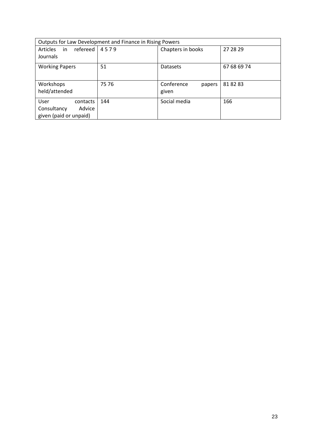|                                                                     | Outputs for Law Development and Finance in Rising Powers |                               |             |  |  |  |  |
|---------------------------------------------------------------------|----------------------------------------------------------|-------------------------------|-------------|--|--|--|--|
| refereed<br><b>Articles</b><br>in<br>Journals                       | 4579                                                     | 27 28 29                      |             |  |  |  |  |
| <b>Working Papers</b>                                               | 51                                                       | Datasets                      | 67 68 69 74 |  |  |  |  |
| Workshops<br>held/attended                                          | 75 76                                                    | Conference<br>papers<br>given | 818283      |  |  |  |  |
| User<br>contacts<br>Advice<br>Consultancy<br>given (paid or unpaid) | 144                                                      | Social media                  | 166         |  |  |  |  |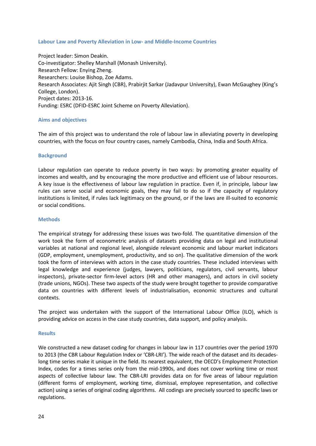# **Labour Law and Poverty Alleviation in Low- and Middle-Income Countries**

Project leader: Simon Deakin. Co-investigator: Shelley Marshall (Monash University). Research Fellow: Enying Zheng. Researchers: Louise Bishop, Zoe Adams. Research Associates: Ajit Singh (CBR), Prabirjit Sarkar (Jadavpur University), Ewan McGaughey (King's College, London). Project dates: 2013-16. Funding: ESRC (DFID-ESRC Joint Scheme on Poverty Alleviation).

# **Aims and objectives**

The aim of this project was to understand the role of labour law in alleviating poverty in developing countries, with the focus on four country cases, namely Cambodia, China, India and South Africa.

# **Background**

Labour regulation can operate to reduce poverty in two ways: by promoting greater equality of incomes and wealth, and by encouraging the more productive and efficient use of labour resources. A key issue is the effectiveness of labour law regulation in practice. Even if, in principle, labour law rules can serve social and economic goals, they may fail to do so if the capacity of regulatory institutions is limited, if rules lack legitimacy on the ground, or if the laws are ill-suited to economic or social conditions.

## **Methods**

The empirical strategy for addressing these issues was two-fold. The quantitative dimension of the work took the form of econometric analysis of datasets providing data on legal and institutional variables at national and regional level, alongside relevant economic and labour market indicators (GDP, employment, unemployment, productivity, and so on). The qualitative dimension of the work took the form of interviews with actors in the case study countries. These included interviews with legal knowledge and experience (judges, lawyers, politicians, regulators, civil servants, labour inspectors), private-sector firm-level actors (HR and other managers), and actors in civil society (trade unions, NGOs). These two aspects of the study were brought together to provide comparative data on countries with different levels of industrialisation, economic structures and cultural contexts.

The project was undertaken with the support of the International Labour Office (ILO), which is providing advice on access in the case study countries, data support, and policy analysis.

## **Results**

We constructed a new dataset coding for changes in labour law in 117 countries over the period 1970 to 2013 (the CBR Labour Regulation Index or 'CBR-LRI'). The wide reach of the dataset and its decadeslong time series make it unique in the field. Its nearest equivalent, the OECD's Employment Protection Index, codes for a times series only from the mid-1990s, and does not cover working time or most aspects of collective labour law. The CBR-LRI provides data on for five areas of labour regulation (different forms of employment, working time, dismissal, employee representation, and collective action) using a series of original coding algorithms. All codings are precisely sourced to specific laws or regulations.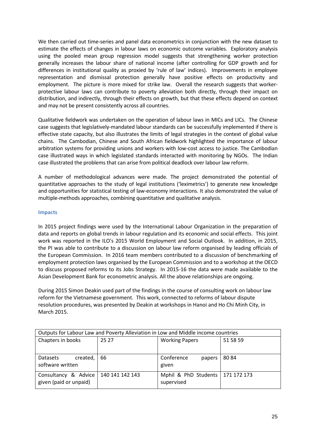We then carried out time-series and panel data econometrics in conjunction with the new dataset to estimate the effects of changes in labour laws on economic outcome variables. Exploratory analysis using the pooled mean group regression model suggests that strengthening worker protection generally increases the labour share of national income (after controlling for GDP growth and for differences in institutional quality as proxied by 'rule of law' indices). Improvements in employee representation and dismissal protection generally have positive effects on productivity and employment. The picture is more mixed for strike law. Overall the research suggests that workerprotective labour laws can contribute to poverty alleviation both directly, through their impact on distribution, and indirectly, through their effects on growth, but that these effects depend on context and may not be present consistently across all countries.

Qualitative fieldwork was undertaken on the operation of labour laws in MICs and LICs. The Chinese case suggests that legislatively-mandated labour standards can be successfully implemented if there is effective state capacity, but also illustrates the limits of legal strategies in the context of global value chains. The Cambodian, Chinese and South African fieldwork highlighted the importance of labour arbitration systems for providing unions and workers with low-cost access to justice. The Cambodian case illustrated ways in which legislated standards interacted with monitoring by NGOs. The Indian case illustrated the problems that can arise from political deadlock over labour law reform.

A number of methodological advances were made. The project demonstrated the potential of quantitative approaches to the study of legal institutions ('leximetrics') to generate new knowledge and opportunities for statistical testing of law-economy interactions. It also demonstrated the value of multiple-methods approaches, combining quantitative and qualitative analysis.

# **Impacts**

In 2015 project findings were used by the International Labour Organization in the preparation of data and reports on global trends in labour regulation and its economic and social effects. This joint work was reported in the ILO's 2015 World Employment and Social Outlook. In addition, in 2015, the PI was able to contribute to a discussion on labour law reform organised by leading officials of the European Commission. In 2016 team members contributed to a discussion of benchmarking of employment protection laws organised by the European Commission and to a workshop at the OECD to discuss proposed reforms to its Jobs Strategy. In 2015-16 the data were made available to the Asian Development Bank for econometric analysis. All the above relationships are ongoing.

During 2015 Simon Deakin used part of the findings in the course of consulting work on labour law reform for the Vietnamese government. This work, connected to reforms of labour dispute resolution procedures, was presented by Deakin at workshops in Hanoi and Ho Chi Minh City, in March 2015.

| Outputs for Labour Law and Poverty Alleviation in Low and Middle income countries |       |                                                  |          |  |  |  |  |  |  |  |  |
|-----------------------------------------------------------------------------------|-------|--------------------------------------------------|----------|--|--|--|--|--|--|--|--|
| Chapters in books                                                                 | 25 27 | <b>Working Papers</b>                            | 51 58 59 |  |  |  |  |  |  |  |  |
|                                                                                   |       |                                                  |          |  |  |  |  |  |  |  |  |
| created, $66$<br>Datasets<br>software written                                     |       | Conference<br>papers<br>given                    | 8084     |  |  |  |  |  |  |  |  |
| Consultancy & Advice   140 141 142 143<br>given (paid or unpaid)                  |       | Mphil & PhD Students   171 172 173<br>supervised |          |  |  |  |  |  |  |  |  |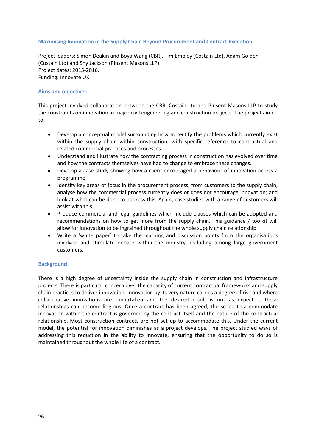# **Maximising Innovation in the Supply Chain Beyond Procurement and Contract Execution**

Project leaders: [Simon Deakin](http://www.cbr.cam.ac.uk/people/the-team/simon-deakin/) and Boya Wang (CBR), Tim Embley (Costain Ltd), Adam Golden (Costain Ltd) and Shy Jackson (Pinsent Masons LLP). Project dates: 2015-2016. Funding: Innovate UK.

# **Aims and objectives**

This project involved collaboration between the CBR, Costain Ltd and Pinsent Masons LLP to study the constraints on innovation in major civil engineering and construction projects. The project aimed to:

- Develop a conceptual model surrounding how to rectify the problems which currently exist within the supply chain within construction, with specific reference to contractual and related commercial practices and processes.
- Understand and illustrate how the contracting process in construction has evolved over time and how the contracts themselves have had to change to embrace these changes.
- Develop a case study showing how a client encouraged a behaviour of innovation across a programme.
- Identify key areas of focus in the procurement process, from customers to the supply chain, analyse how the commercial process currently does or does not encourage innovation; and look at what can be done to address this. Again, case studies with a range of customers will assist with this.
- Produce commercial and legal guidelines which include clauses which can be adopted and recommendations on how to get more from the supply chain. This guidance / toolkit will allow for innovation to be ingrained throughout the whole supply chain relationship.
- Write a 'white paper' to take the learning and discussion points from the organisations involved and stimulate debate within the industry, including among large government customers.

## **Background**

There is a high degree of uncertainty inside the supply chain in construction and infrastructure projects. There is particular concern over the capacity of current contractual frameworks and supply chain practices to deliver innovation. Innovation by its very nature carries a degree of risk and where collaborative innovations are undertaken and the desired result is not as expected, these relationships can become litigious. Once a contract has been agreed, the scope to accommodate innovation within the contract is governed by the contract itself and the nature of the contractual relationship. Most construction contracts are not set up to accommodate this. Under the current model, the potential for innovation diminishes as a project develops. The project studied ways of addressing this reduction in the ability to innovate, ensuring that the opportunity to do so is maintained throughout the whole life of a contract.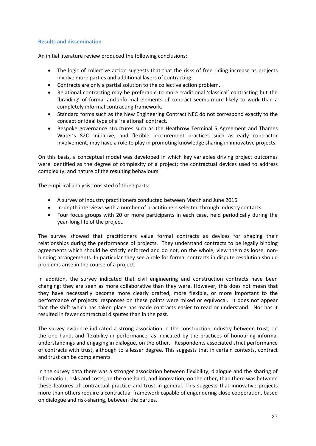# **Results and dissemination**

An initial literature review produced the following conclusions:

- The logic of collective action suggests that that the risks of free riding increase as projects involve more parties and additional layers of contracting.
- Contracts are only a partial solution to the collective action problem.
- Relational contracting may be preferable to more traditional 'classical' contracting but the 'braiding' of formal and informal elements of contract seems more likely to work than a completely informal contracting framework.
- Standard forms such as the New Engineering Contract NEC do not correspond exactly to the concept or ideal type of a 'relational' contract.
- Bespoke governance structures such as the Heathrow Terminal 5 Agreement and Thames Water's 82O initiative, and flexible procurement practices such as early contractor involvement, may have a role to play in promoting knowledge sharing in innovative projects.

On this basis, a conceptual model was developed in which key variables driving project outcomes were identified as the degree of complexity of a project; the contractual devices used to address complexity; and nature of the resulting behaviours.

The empirical analysis consisted of three parts:

- A survey of industry practitioners conducted between March and June 2016.
- In-depth interviews with a number of practitioners selected through industry contacts.
- Four focus groups with 20 or more participants in each case, held periodically during the year-long life of the project.

The survey showed that practitioners value formal contracts as devices for shaping their relationships during the performance of projects. They understand contracts to be legally binding agreements which should be strictly enforced and do not, on the whole, view them as loose, nonbinding arrangements. In particular they see a role for formal contracts in dispute resolution should problems arise in the course of a project.

In addition, the survey indicated that civil engineering and construction contracts have been changing: they are seen as more collaborative than they were. However, this does not mean that they have necessarily become more clearly drafted, more flexible, or more important to the performance of projects: responses on these points were mixed or equivocal. It does not appear that the shift which has taken place has made contracts easier to read or understand. Nor has it resulted in fewer contractual disputes than in the past.

The survey evidence indicated a strong association in the construction industry between trust, on the one hand, and flexibility in performance, as indicated by the practices of honouring informal understandings and engaging in dialogue, on the other. Respondents associated strict performance of contracts with trust, although to a lesser degree. This suggests that in certain contexts, contract and trust can be complements.

In the survey data there was a stronger association between flexibility, dialogue and the sharing of information, risks and costs, on the one hand, and innovation, on the other, than there was between these features of contractual practice and trust in general. This suggests that innovative projects more than others require a contractual framework capable of engendering close cooperation, based on dialogue and risk-sharing, between the parties.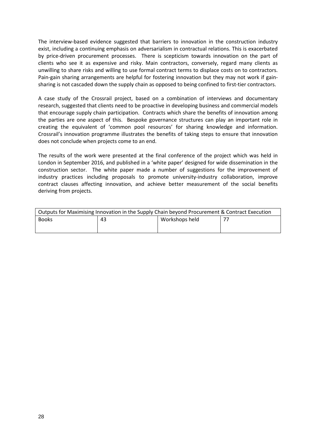The interview-based evidence suggested that barriers to innovation in the construction industry exist, including a continuing emphasis on adversarialism in contractual relations. This is exacerbated by price-driven procurement processes. There is scepticism towards innovation on the part of clients who see it as expensive and risky. Main contractors, conversely, regard many clients as unwilling to share risks and willing to use formal contract terms to displace costs on to contractors. Pain-gain sharing arrangements are helpful for fostering innovation but they may not work if gainsharing is not cascaded down the supply chain as opposed to being confined to first-tier contractors.

A case study of the Crossrail project, based on a combination of interviews and documentary research, suggested that clients need to be proactive in developing business and commercial models that encourage supply chain participation. Contracts which share the benefits of innovation among the parties are one aspect of this. Bespoke governance structures can play an important role in creating the equivalent of 'common pool resources' for sharing knowledge and information. Crossrail's innovation programme illustrates the benefits of taking steps to ensure that innovation does not conclude when projects come to an end.

The results of the work were presented at the final conference of the project which was held in London in September 2016, and published in a 'white paper' designed for wide dissemination in the construction sector. The white paper made a number of suggestions for the improvement of industry practices including proposals to promote university-industry collaboration, improve contract clauses affecting innovation, and achieve better measurement of the social benefits deriving from projects.

| Outputs for Maximising Innovation in the Supply Chain beyond Procurement & Contract Execution |    |                |  |  |  |  |  |  |  |  |  |
|-----------------------------------------------------------------------------------------------|----|----------------|--|--|--|--|--|--|--|--|--|
| <b>Books</b>                                                                                  | 43 | Workshops held |  |  |  |  |  |  |  |  |  |
|                                                                                               |    |                |  |  |  |  |  |  |  |  |  |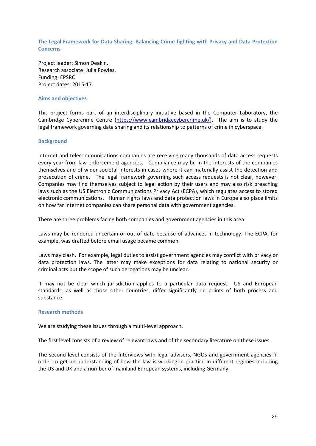**The Legal Framework for Data Sharing: Balancing Crime-fighting with Privacy and Data Protection Concerns**

Project leader: Simon Deakin. Research associate: Julia Powles. Funding: EPSRC Project dates: 2015-17.

# **Aims and objectives**

This project forms part of an interdisciplinary initiative based in the Computer Laboratory, the Cambridge Cybercrime Centre [\(https://www.cambridgecybercrime.uk/\)](https://www.cambridgecybercrime.uk/). The aim is to study the legal framework governing data sharing and its relationship to patterns of crime in cyberspace.

## **Background**

Internet and telecommunications companies are receiving many thousands of data access requests every year from law enforcement agencies. Compliance may be in the interests of the companies themselves and of wider societal interests in cases where it can materially assist the detection and prosecution of crime. The legal framework governing such access requests is not clear, however. Companies may find themselves subject to legal action by their users and may also risk breaching laws such as the US Electronic Communications Privacy Act (ECPA), which regulates access to stored electronic communications. Human rights laws and data protection laws in Europe also place limits on how far internet companies can share personal data with government agencies.

There are three problems facing both companies and government agencies in this area:

Laws may be rendered uncertain or out of date because of advances in technology. The ECPA, for example, was drafted before email usage became common.

Laws may clash. For example, legal duties to assist government agencies may conflict with privacy or data protection laws. The latter may make exceptions for data relating to national security or criminal acts but the scope of such derogations may be unclear.

It may not be clear which jurisdiction applies to a particular data request. US and European standards, as well as those other countries, differ significantly on points of both process and substance.

## **Research methods**

We are studying these issues through a multi-level approach.

The first level consists of a review of relevant laws and of the secondary literature on these issues.

The second level consists of the interviews with legal advisers, NGOs and government agencies in order to get an understanding of how the law is working in practice in different regimes including the US and UK and a number of mainland European systems, including Germany.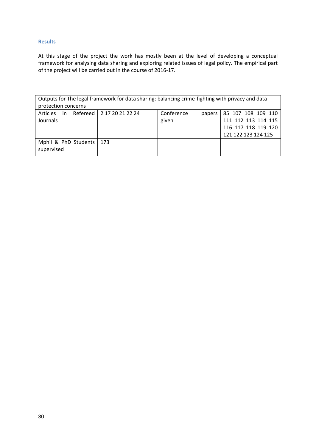# **Results**

At this stage of the project the work has mostly been at the level of developing a conceptual framework for analysing data sharing and exploring related issues of legal policy. The empirical part of the project will be carried out in the course of 2016-17.

| Outputs for The legal framework for data sharing: balancing crime-fighting with privacy and data |                          |                      |                     |  |  |  |  |  |  |  |  |  |  |
|--------------------------------------------------------------------------------------------------|--------------------------|----------------------|---------------------|--|--|--|--|--|--|--|--|--|--|
| protection concerns                                                                              |                          |                      |                     |  |  |  |  |  |  |  |  |  |  |
| in<br>Articles                                                                                   | Refereed 217 20 21 22 24 | Conference<br>papers | 85 107 108 109 110  |  |  |  |  |  |  |  |  |  |  |
| Journals                                                                                         |                          | given                | 111 112 113 114 115 |  |  |  |  |  |  |  |  |  |  |
|                                                                                                  |                          |                      | 116 117 118 119 120 |  |  |  |  |  |  |  |  |  |  |
|                                                                                                  |                          |                      | 121 122 123 124 125 |  |  |  |  |  |  |  |  |  |  |
| Mphil & PhD Students   173                                                                       |                          |                      |                     |  |  |  |  |  |  |  |  |  |  |
| supervised                                                                                       |                          |                      |                     |  |  |  |  |  |  |  |  |  |  |
|                                                                                                  |                          |                      |                     |  |  |  |  |  |  |  |  |  |  |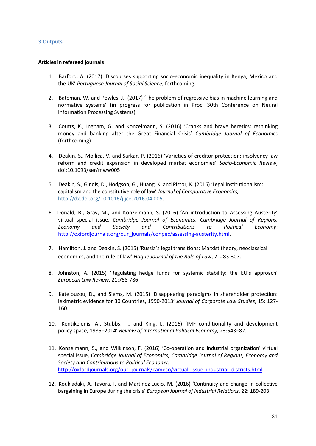# **3.Outputs**

# **Articles in refereed journals**

- <span id="page-30-1"></span>1. Barford, A. (2017) 'Discourses supporting socio-economic inequality in Kenya, Mexico and the UK' *Portuguese Journal of Social Science*, forthcoming.
- <span id="page-30-6"></span>2. Bateman, W. and Powles, J., (2017) 'The problem of regressive bias in machine learning and normative systems' (in progress for publication in Proc. 30th Conference on Neural Information Processing Systems)
- 3. Coutts, K., Ingham, G. and Konzelmann, S. (2016) 'Cranks and brave heretics: rethinking money and banking after the Great Financial Crisis' *Cambridge Journal of Economics* (forthcoming)
- <span id="page-30-2"></span>4. Deakin, S., Mollica, V. and Sarkar, P. (2016) 'Varieties of creditor protection: insolvency law reform and credit expansion in developed market economies' *Socio-Economic Review*, doi:10.1093/ser/mww005
- <span id="page-30-3"></span>5. Deakin, S., Gindis, D., Hodgson, G., Huang, K. and Pistor, K. (2016) 'Legal institutionalism: capitalism and the constitutive role of law' *Journal of Comparative Economics,* [http://dx.doi.org/10.1016/j.jce.2016.04.005.](http://dx.doi.org/10.1016/j.jce.2016.04.005)
- 6. Donald, B., Gray, M., and Konzelmann, S. (2016) 'An introduction to Assessing Austerity' virtual special issue, *Cambridge Journal of Economics, Cambridge Journal of Regions, Economy and Society and Contributions to Political Economy*: [http://oxfordjournals.org/our\\_journals/conpec/assessing-austerity.html.](http://oxfordjournals.org/our_journals/conpec/assessing-austerity.html)
- <span id="page-30-4"></span>7. Hamilton, J. and Deakin, S. (2015) 'Russia's legal transitions: Marxist theory, neoclassical economics, and the rule of law' *Hague Journal of the Rule of Law*, 7: 283-307.
- 8. Johnston, A. (2015) 'Regulating hedge funds for systemic stability: the EU's approach' *European Law Review*, 21:758-786
- <span id="page-30-5"></span>9. Katelouzou, D., and Siems, M. (2015) 'Disappearing paradigms in shareholder protection: leximetric evidence for 30 Countries, 1990-2013' *Journal of Corporate Law Studies*, 15: 127- 160.
- <span id="page-30-0"></span>10. Kentikelenis, A., Stubbs, T., and King, L. (2016) 'IMF conditionality and development policy space, 1985–2014' *Review of International Political Economy*, 23:543–82.
- 11. Konzelmann, S., and Wilkinson, F. (2016) 'Co-operation and industrial organization' virtual special issue, *Cambridge Journal of Economics, Cambridge Journal of Regions, Economy and Society and Contributions to Political Economy*: [http://oxfordjournals.org/our\\_journals/cameco/virtual\\_issue\\_industrial\\_districts.html](http://oxfordjournals.org/our_journals/cameco/virtual_issue_industrial_districts.html)
- 12. Koukiadaki, A. Tavora, I. and Martinez-Lucio, M. (2016) 'Continuity and change in collective bargaining in Europe during the crisis' *European Journal of Industrial Relations*, 22: 189-203.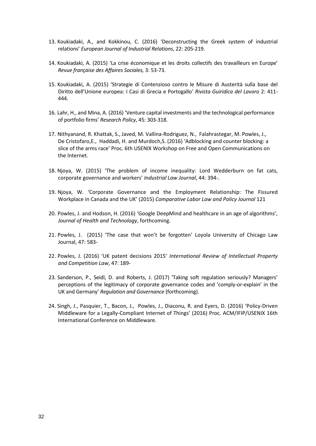- 13. Koukiadaki, A., and Kokkinou, C. (2016) 'Deconstructing the Greek system of industrial relations' *European Journal of Industrial Relations*, 22: 205-219.
- 14. Koukiadaki, A. (2015) 'La crise économique et les droits collectifs des travailleurs en Europe' *Revue française des Affaires Sociales,* 3: 53-73.
- 15. Koukiadaki, A. (2015) 'Strategie di Contenzioso contro le Misure di Austerità sulla base del Diritto dell'Unione europea: I Casi di Grecia e Portogallo' *Rivista Guiridica del Lavoro* 2: 411- 444.
- 16. Lahr, H., and Mina, A. (2016) 'Venture capital investments and the technological performance of portfolio firms' *Research Policy*, 45: 303-318.
- <span id="page-31-0"></span>17. Nithyanand, R. Khattak, S., Javed, M. Vallina-Rodriguez, N., Falahrastegar, M. Powles, J., De Cristofaro,E., Haddadi, H. and Murdoch,S. (2016) 'Adblocking and counter blocking: a slice of the arms race' Proc. 6th USENIX Workshop on Free and Open Communications on the Internet.
- 18. Njoya, W. (2015) 'The problem of income inequality: Lord Wedderburn on fat cats, corporate governance and workers' *Industrial Law Journal*, 44: 394-.
- 19. Njoya, W. 'Corporate Governance and the Employment Relationship: The Fissured Workplace in Canada and the UK' (2015) *Comparative Labor Law and Policy Journal* 121
- <span id="page-31-1"></span>20. Powles, J. and Hodson, H. (2016) 'Google DeepMind and healthcare in an age of algorithms', *Journal of Health and Technology*, forthcoming.
- <span id="page-31-2"></span>21. Powles, J. (2015) 'The case that won't be forgotten' Loyola University of Chicago Law Journal, 47: 583-
- <span id="page-31-3"></span>22. Powles, J. (2016) 'UK patent decisions 2015' *International Review of Intellectual Property and Competition Law*, 47: 189-
- 23. Sanderson, P., Seidl, D. and Roberts, J. (2017) 'Taking soft regulation seriously? Managers' perceptions of the legitimacy of corporate governance codes and 'comply-or-explain' in the UK and Germany' *Regulation and Governance* (forthcoming).
- <span id="page-31-4"></span>24. Singh, J., Pasquier, T., Bacon, J., Powles, J., Diaconu, R. and Eyers, D. (2016) 'Policy-Driven Middleware for a Legally-Compliant Internet of Things' (2016) Proc. ACM/IFIP/USENIX 16th International Conference on Middleware.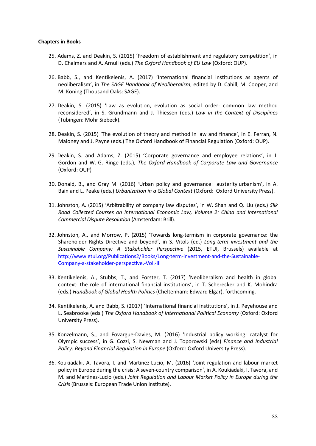## **Chapters in Books**

- <span id="page-32-7"></span>25. Adams, Z. and Deakin, S. (2015) 'Freedom of establishment and regulatory competition', in D. Chalmers and A. Arnull (eds.) *The Oxford Handbook of EU Law* (Oxford: OUP).
- <span id="page-32-0"></span>26. Babb, S., and Kentikelenis, A. (2017) 'International financial institutions as agents of neoliberalism', in *The SAGE Handbook of Neoliberalism*, edited by D. Cahill, M. Cooper, and M. Koning (Thousand Oaks: SAGE).
- <span id="page-32-4"></span>27. Deakin, S. (2015) 'Law as evolution, evolution as social order: common law method reconsidered', in S. Grundmann and J. Thiessen (eds.) *Law in the Context of Disciplines*  (Tübingen: Mohr Siebeck).
- <span id="page-32-5"></span>28. Deakin, S. (2015) 'The evolution of theory and method in law and finance', in E. Ferran, N. Maloney and J. Payne (eds.) The Oxford Handbook of Financial Regulation (Oxford: OUP).
- <span id="page-32-6"></span>29. Deakin, S. and Adams, Z. (2015) 'Corporate governance and employee relations', in J. Gordon and W.-G. Ringe (eds.), *The Oxford Handbook of Corporate Law and Governance* (Oxford: OUP)
- <span id="page-32-3"></span>30. Donald, B., and Gray M. (2016) *'*Urban policy and governance: austerity urbanism', in A. Bain and L. Peake (eds.) *Urbanization in a Global Context* (Oxford: Oxford University Press).
- 31. Johnston, A. (2015) 'Arbitrability of company law disputes', in W. Shan and Q. Liu (eds.) *Silk Road Collected Courses on International Economic Law, Volume 2: China and International Commercial Dispute Resolution* (Amsterdam: Brill).
- 32. Johnston, A., and Morrow, P. (2015) 'Towards long-termism in corporate governance: the Shareholder Rights Directive and beyond', in S. Vitols (ed.) *Long-term investment and the Sustainable Company: A Stakeholder Perspective* (2015, ETUI, Brussels) available at [http://www.etui.org/Publications2/Books/Long-term-investment-and-the-Sustainable-](http://www.etui.org/Publications2/Books/Long-term-investment-and-the-Sustainable-Company-a-stakeholder-perspective.-Vol.-III)[Company-a-stakeholder-perspective.-Vol.-III](http://www.etui.org/Publications2/Books/Long-term-investment-and-the-Sustainable-Company-a-stakeholder-perspective.-Vol.-III)
- <span id="page-32-1"></span>33. Kentikelenis, A., Stubbs, T., and Forster, T. (2017) 'Neoliberalism and health in global context: the role of international financial institutions', in T. Scherecker and K. Mohindra (eds.) *Handbook of Global Health Politics* (Cheltenham: Edward Elgar), forthcoming.
- <span id="page-32-2"></span>34. Kentikelenis, A. and Babb, S. (2017) 'International financial institutions', in J. Peyehouse and L. Seabrooke (eds.) *The Oxford Handbook of International Political Economy* (Oxford: Oxford University Press).
- 35. Konzelmann, S., and Fovargue-Davies, M. (2016) 'Industrial policy working: catalyst for Olympic success', in G. Cozzi, S. Newman and J. Toporowski (eds) *Finance and Industrial Policy: Beyond Financial Regulation in Europe (Oxford: Oxford University Press).*
- 36. Koukiadaki, A. Tavora, I. and Martinez-Lucio, M. (2016) 'Joint regulation and labour market policy in Europe during the crisis: A seven-country comparison', in A. Koukiadaki, I. Tavora, and M. and Martinez-Lucio (eds.) *Joint Regulation and Labour Market Policy in Europe during the Crisis* (Brussels: European Trade Union Institute).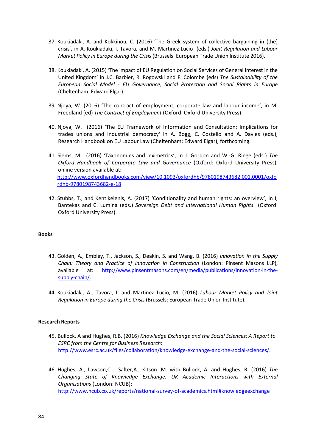- 37. Koukiadaki, A. and Kokkinou, C. (2016) 'The Greek system of collective bargaining in (the) crisis', in A. Koukiadaki, I. Tavora, and M. Martinez-Lucio (eds.) *Joint Regulation and Labour Market Policy in Europe during the Crisis* (Brussels: European Trade Union Institute 2016).
- 38. Koukiadaki, A. (2015) 'The impact of EU Regulation on Social Services of General Interest in the United Kingdom' in J.C. Barbier, R. Rogowski and F. Colombe (eds) *The Sustainability of the European Social Model - EU Governance, Social Protection and Social Rights in Europe* (Cheltenham: Edward Elgar).
- 39. Njoya, W. (2016) 'The contract of employment, corporate law and labour income', in M. Freedland (ed) *The Contract of Employment* (Oxford: Oxford University Press).
- 40. Njoya, W. (2016) 'The EU Framework of Information and Consultation: Implications for trades unions and industrial democracy' in A. Bogg, C. Costello and A. Davies (eds.), Research Handbook on EU Labour Law (Cheltenham: Edward Elgar), forthcoming.
- 41. Siems, M. (2016) 'Taxonomies and leximetrics', in J. Gordon and W.-G. Ringe (eds.) *The Oxford Handbook of Corporate Law and Governance* (Oxford: Oxford University Press), online version available at: [http://www.oxfordhandbooks.com/view/10.1093/oxfordhb/9780198743682.001.0001/oxfo](http://www.oxfordhandbooks.com/view/10.1093/oxfordhb/9780198743682.001.0001/oxfordhb-9780198743682-e-18) [rdhb-9780198743682-e-18](http://www.oxfordhandbooks.com/view/10.1093/oxfordhb/9780198743682.001.0001/oxfordhb-9780198743682-e-18)
- <span id="page-33-2"></span>42. Stubbs, T., and Kentikelenis, A. (2017) 'Conditionality and human rights: an overview', in I; Bantekas and C. Lumina (eds.) *Sovereign Debt and International Human Rights* (Oxford: Oxford University Press).

# **Books**

- <span id="page-33-3"></span>43. Golden, A., Embley, T., Jackson, S., Deakin, S. and Wang, B. (2016) *Innovation in the Supply Chain: Theory and Practice of Innovation in Construction* (London: Pinsent Masons LLP), available at: [http://www.pinsentmasons.com/en/media/publications/innovation-in-the](http://www.pinsentmasons.com/en/media/publications/innovation-in-the-supply-chain/)[supply-chain/.](http://www.pinsentmasons.com/en/media/publications/innovation-in-the-supply-chain/)
- 44. Koukiadaki, A., Tavora, I. and Martinez Lucio, M. (2016) *Labour Market Policy and Joint Regulation in Europe during the Crisis* (Brussels: European Trade Union Institute).

## **Research Reports**

- <span id="page-33-0"></span>45. Bullock, A and Hughes, R.B. (2016) *Knowledge Exchange and the Social Sciences: A Report to ESRC from the Centre for Business Research*: [http://www.esrc.ac.uk/files/collaboration/knowledge-exchange-and-the-social-sciences/.](http://www.esrc.ac.uk/files/collaboration/knowledge-exchange-and-the-social-sciences/)
- <span id="page-33-1"></span>46. Hughes, A., Lawson,C ., Salter,A., Kitson ,M. with Bullock, A. and Hughes, R. (2016) *The Changing State of Knowledge Exchange: UK Academic Interactions with External Organisations* (London: NCUB): <http://www.ncub.co.uk/reports/national-survey-of-academics.html#knowledgeexchange>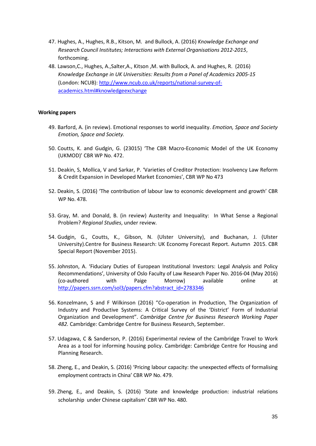- <span id="page-34-0"></span>47. Hughes, A., Hughes, R.B., Kitson, M. and Bullock, A. (2016) *Knowledge Exchange and Research Council Institutes; Interactions with External Organisations 2012-2015*, forthcoming.
- <span id="page-34-1"></span>48. Lawson,C., Hughes, A.,Salter,A., Kitson ,M. with Bullock, A. and Hughes, R. (2016) *Knowledge Exchange in UK Universities: Results from a Panel of Academics 2005-15* (London: NCUB)[: http://www.ncub.co.uk/reports/national-survey-of](http://www.ncub.co.uk/reports/national-survey-of-academics.html#knowledgeexchange)[academics.html#knowledgeexchange](http://www.ncub.co.uk/reports/national-survey-of-academics.html#knowledgeexchange)

# **Working papers**

- <span id="page-34-4"></span>49. Barford, A. (in review). Emotional responses to world inequality. *Emotion, Space and Society Emotion, Space and Society.*
- <span id="page-34-2"></span>50. Coutts, K. and Gudgin, G. (23015) 'The CBR Macro-Economic Model of the UK Economy (UKMOD)' CBR WP No. 472.
- <span id="page-34-6"></span>51. Deakin, S, Mollica, V and Sarkar, P. 'Varieties of Creditor Protection: Insolvency Law Reform & Credit Expansion in Developed Market Economies', CBR WP No 473
- 52. Deakin, S. (2016) 'The contribution of labour law to economic development and growth' CBR WP No. 478.
- <span id="page-34-5"></span>53. Gray, M. and Donald, B. (in review) Austerity and Inequality: In What Sense a Regional Problem? *Regional Studies*, under review*.*
- <span id="page-34-3"></span>54. Gudgin, G., Coutts, K., Gibson, N. (Ulster University), and Buchanan, J. (Ulster University).Centre for Business Research: UK Economy Forecast Report. Autumn 2015. CBR Special Report (November 2015).
- 55. Johnston, A. 'Fiduciary Duties of European Institutional Investors: Legal Analysis and Policy Recommendations', University of Oslo Faculty of Law Research Paper No. 2016-04 (May 2016) (co-authored with Paige Morrow) available online at [http://papers.ssrn.com/sol3/papers.cfm?abstract\\_id=2783346](http://papers.ssrn.com/sol3/papers.cfm?abstract_id=2783346)
- 56. Konzelmann, S and F Wilkinson (2016) "Co-operation in Production, The Organization of Industry and Productive Systems: A Critical Survey of the 'District' Form of Industrial Organization and Development". *Cambridge Centre for Business Research Working Paper 482.* Cambridge: Cambridge Centre for Business Research, September.
- 57. Udagawa, C & Sanderson, P. (2016) Experimental review of the Cambridge Travel to Work Area as a tool for informing housing policy. Cambridge: Cambridge Centre for Housing and Planning Research.
- <span id="page-34-7"></span>58. Zheng, E., and Deakin, S. (2016) 'Pricing labour capacity: the unexpected effects of formalising employment contracts in China' CBR WP No. 479.
- <span id="page-34-8"></span>59. Zheng, E., and Deakin, S. (2016) 'State and knowledge production: industrial relations scholarship under Chinese capitalism' CBR WP No. 480.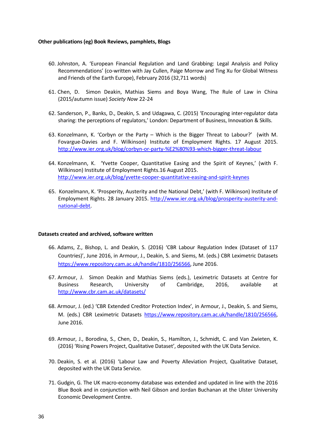# **Other publications (eg) Book Reviews, pamphlets, Blogs**

- 60. Johnston, A. 'European Financial Regulation and Land Grabbing: Legal Analysis and Policy Recommendations' (co-written with Jay Cullen, Paige Morrow and Ting Xu for Global Witness and Friends of the Earth Europe), February 2016 (32,711 words)
- 61. Chen, D. Simon Deakin, Mathias Siems and Boya Wang, The Rule of Law in China (2015/autumn issue) *Society Now* 22-24
- 62. Sanderson, P., Banks, D., Deakin, S. and Udagawa, C. (2015) 'Encouraging inter-regulator data sharing: the perceptions of regulators,' London: Department of Business, Innovation & Skills.
- 63. Konzelmann, K. 'Corbyn or the Party Which is the Bigger Threat to Labour?' (with M. Fovargue-Davies and F. Wilkinson) Institute of Employment Rights. 17 August 2015. <http://www.ier.org.uk/blog/corbyn-or-party-%E2%80%93-which-bigger-threat-labour>
- 64. Konzelmann, K. 'Yvette Cooper, Quantitative Easing and the Spirit of Keynes,' (with F. Wilkinson) Institute of Employment Rights.16 August 2015. <http://www.ier.org.uk/blog/yvette-cooper-quantitative-easing-and-spirit-keynes>
- 65. Konzelmann, K. 'Prosperity, Austerity and the National Debt,' (with F. Wilkinson) Institute of Employment Rights. 28 January 2015. [http://www.ier.org.uk/blog/prosperity-austerity-and](http://www.ier.org.uk/blog/prosperity-austerity-and-national-debt)[national-debt.](http://www.ier.org.uk/blog/prosperity-austerity-and-national-debt)

## **Datasets created and archived, software written**

- <span id="page-35-4"></span>66. Adams, Z., Bishop, L. and Deakin, S. (2016) 'CBR Labour Regulation Index (Dataset of 117 Countries)', June 2016, in Armour, J., Deakin, S. and Siems, M. (eds.) CBR Leximetric Datasets [https://www.repository.cam.ac.uk/handle/1810/256566,](https://www.repository.cam.ac.uk/handle/1810/256566) June 2016.
- <span id="page-35-1"></span>67. Armour, J. Simon Deakin and Mathias Siems (eds.), Leximetric Datasets at Centre for Business Research, University of Cambridge, 2016, available at <http://www.cbr.cam.ac.uk/datasets/>
- <span id="page-35-2"></span>68. Armour, J. (ed.) 'CBR Extended Creditor Protection Index', in Armour, J., Deakin, S. and Siems, M. (eds.) CBR Leximetric Datasets [https://www.repository.cam.ac.uk/handle/1810/256566,](https://www.repository.cam.ac.uk/handle/1810/256566) June 2016.
- <span id="page-35-3"></span>69. Armour, J., Borodina, S., Chen, D., Deakin, S., Hamilton, J., Schmidt, C. and Van Zwieten, K. (2016) 'Rising Powers Project, Qualitative Dataset', deposited with the UK Data Service.
- 70. Deakin, S. et al. (2016) 'Labour Law and Poverty Alleviation Project, Qualitative Dataset, deposited with the UK Data Service.
- <span id="page-35-0"></span>71. Gudgin, G. The UK macro-economy database was extended and updated in line with the 2016 Blue Book and in conjunction with Neil Gibson and Jordan Buchanan at the Ulster University Economic Development Centre.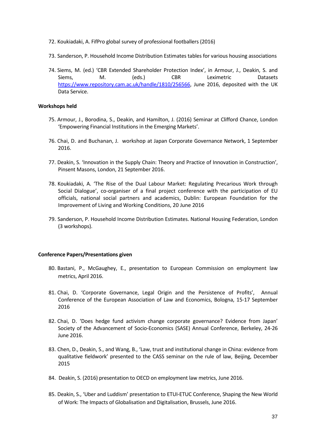- 72. Koukiadaki, A. FifPro global survey of professional footballers (2016)
- 73. Sanderson, P. Household Income Distribution Estimates tables for various housing associations
- <span id="page-36-0"></span>74. Siems, M. (ed.) 'CBR Extended Shareholder Protection Index', in Armour, J., Deakin, S. and Siems, M. (eds.) CBR Leximetric Datasets [https://www.repository.cam.ac.uk/handle/1810/256566,](https://www.repository.cam.ac.uk/handle/1810/256566) June 2016, deposited with the UK Data Service.

# **Workshops held**

- <span id="page-36-1"></span>75. Armour, J., Borodina, S., Deakin, and Hamilton, J. (2016) Seminar at Clifford Chance, London 'Empowering Financial Institutions in the Emerging Markets'.
- <span id="page-36-2"></span>76. Chai, D. and Buchanan, J. workshop at Japan Corporate Governance Network, 1 September 2016.
- <span id="page-36-8"></span>77. Deakin, S. 'Innovation in the Supply Chain: Theory and Practice of Innovation in Construction', Pinsent Masons, London, 21 September 2016.
- 78. Koukiadaki, A. 'The Rise of the Dual Labour Market: Regulating Precarious Work through Social Dialogue', co-organiser of a final project conference with the participation of EU officials, national social partners and academics, Dublin: European Foundation for the Improvement of Living and Working Conditions, 20 June 2016
- 79. Sanderson, P. Household Income Distribution Estimates. National Housing Federation, London (3 workshops).

## **Conference Papers/Presentations given**

- <span id="page-36-6"></span>80. Bastani, P., McGaughey, E., presentation to European Commission on employment law metrics, April 2016.
- <span id="page-36-3"></span>81. Chai, D. 'Corporate Governance, Legal Origin and the Persistence of Profits', Annual Conference of the European Association of Law and Economics, Bologna, 15-17 September 2016
- <span id="page-36-4"></span>82. Chai, D. 'Does hedge fund activism change corporate governance? Evidence from Japan' Society of the Advancement of Socio-Economics (SASE) Annual Conference, Berkeley, 24-26 June 2016.
- <span id="page-36-5"></span>83. Chen, D., Deakin, S., and Wang, B., 'Law, trust and institutional change in China: evidence from qualitative fieldwork' presented to the CASS seminar on the rule of law, Beijing, December 2015
- <span id="page-36-7"></span>84. Deakin, S. (2016) presentation to OECD on employment law metrics, June 2016.
- <span id="page-36-9"></span>85. Deakin, S., 'Uber and Luddism' presentation to ETUI-ETUC Conference, Shaping the New World of Work: The Impacts of Globalisation and Digitalisation, Brussels, June 2016.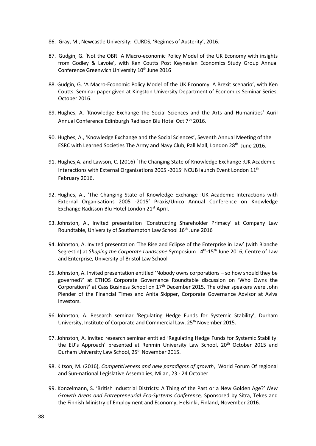- <span id="page-37-7"></span>86. Gray, M., Newcastle University: CURDS, 'Regimes of Austerity', 2016.
- <span id="page-37-5"></span>87. Gudgin, G. 'Not the OBR A Macro-economic Policy Model of the UK Economy with insights from Godley & Lavoie', with Ken Coutts Post Keynesian Economics Study Group Annual Conference Greenwich University 10<sup>th</sup> June 2016
- <span id="page-37-6"></span>88. Gudgin, G. 'A Macro-Economic Policy Model of the UK Economy. A Brexit scenario', with Ken Coutts. Seminar paper given at Kingston University Department of Economics Seminar Series, October 2016.
- <span id="page-37-0"></span>89. Hughes, A. 'Knowledge Exchange the Social Sciences and the Arts and Humanities' Auril Annual Conference Edinburgh Radisson Blu Hotel Oct 7<sup>th</sup> 2016.
- <span id="page-37-1"></span>90. Hughes, A., 'Knowledge Exchange and the Social Sciences', Seventh Annual Meeting of the ESRC with Learned Societies The Army and Navy Club, Pall Mall, London 28th June 2016.
- <span id="page-37-2"></span>91. Hughes,A. and Lawson, C. (2016) 'The Changing State of Knowledge Exchange :UK Academic Interactions with External Organisations 2005 -2015' NCUB launch Event London 11th February 2016.
- <span id="page-37-3"></span>92. Hughes, A., 'The Changing State of Knowledge Exchange :UK Academic Interactions with External Organisations 2005 -2015' Praxis/Unico Annual Conference on Knowledge Exchange Radisson Blu Hotel London 21st April.
- 93. Johnston, A., Invited presentation 'Constructing Shareholder Primacy' at Company Law Roundtable, University of Southampton Law School 16<sup>th</sup> June 2016
- 94. Johnston, A. Invited presentation 'The Rise and Eclipse of the Enterprise in Law' (with Blanche Segrestin) at *Shaping the Corporate Landscape* Symposium 14th-15th June 2016, Centre of Law and Enterprise, University of Bristol Law School
- 95. Johnston, A. Invited presentation entitled 'Nobody owns corporations so how should they be governed?' at ETHOS Corporate Governance Roundtable discussion on 'Who Owns the Corporation?' at Cass Business School on  $17<sup>th</sup>$  December 2015. The other speakers were John Plender of the Financial Times and Anita Skipper, Corporate Governance Advisor at Aviva Investors.
- 96. Johnston, A. Research seminar 'Regulating Hedge Funds for Systemic Stability', Durham University, Institute of Corporate and Commercial Law, 25<sup>th</sup> November 2015.
- 97. Johnston, A. Invited research seminar entitled 'Regulating Hedge Funds for Systemic Stability: the EU's Approach' presented at Renmin University Law School, 20<sup>th</sup> October 2015 and Durham University Law School, 25<sup>th</sup> November 2015.
- <span id="page-37-4"></span>98. Kitson, M. (2016), *Competitiveness and new paradigms of growth*, World Forum Of regional and Sun-national Legislative Assemblies, Milan, 23 - 24 October
- 99. Konzelmann, S. 'British Industrial Districts: A Thing of the Past or a New Golden Age?' *New Growth Areas and Entrepreneurial Eco-Systems Conference,* Sponsored by Sitra, Tekes and the Finnish Ministry of Employment and Economy, Helsinki, Finland, November 2016.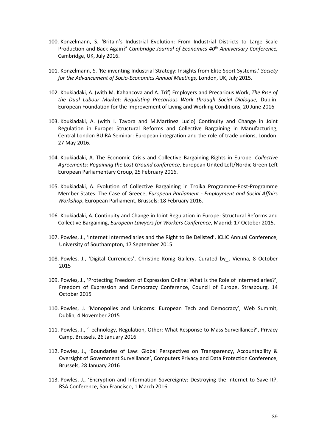- 100. Konzelmann, S. 'Britain's Industrial Evolution: From Industrial Districts to Large Scale Production and Back Again?' *Cambridge Journal of Economics 40th Anniversary Conference,* Cambridge, UK, July 2016.
- 101. Konzelmann, S. 'Re-inventing Industrial Strategy: Insights from Elite Sport Systems.' *Society for the Advancement of Socio-Economics Annual Meetings,* London, UK, July 2015.
- 102. Koukiadaki, A. (with M. Kahancova and A. Trif) Employers and Precarious Work, *The Rise of the Dual Labour Market: Regulating Precarious Work through Social Dialogue*, Dublin: European Foundation for the Improvement of Living and Working Conditions, 20 June 2016
- 103. Koukiadaki, A. (with I. Tavora and M.Martinez Lucio) Continuity and Change in Joint Regulation in Europe: Structural Reforms and Collective Bargaining in Manufacturing, Central London BUIRA Seminar: European integration and the role of trade unions, London: 27 May 2016.
- 104. Koukiadaki, A. The Economic Crisis and Collective Bargaining Rights in Europe, *Collective Agreements: Regaining the Lost Ground conference,* European United Left/Nordic Green Left European Parliamentary Group, 25 February 2016.
- 105. Koukiadaki, A. Evolution of Collective Bargaining in Troika Programme-Post-Programme Member States: The Case of Greece, *European Parliament - Employment and Social Affairs Workshop*, European Parliament, Brussels: 18 February 2016.
- 106. Koukiadaki, A. Continuity and Change in Joint Regulation in Europe: Structural Reforms and Collective Bargaining, *European Lawyers for Workers Conference*, Madrid: 17 October 2015.
- <span id="page-38-0"></span>107. Powles, J., 'Internet Intermediaries and the Right to Be Delisted', iCLIC Annual Conference, University of Southampton, 17 September 2015
- <span id="page-38-1"></span>108. Powles, J., 'Digital Currencies', Christine König Gallery, Curated by\_, Vienna, 8 October 2015
- <span id="page-38-2"></span>109. Powles, J., 'Protecting Freedom of Expression Online: What is the Role of Intermediaries?', Freedom of Expression and Democracy Conference, Council of Europe, Strasbourg, 14 October 2015
- <span id="page-38-3"></span>110. Powles, J. 'Monopolies and Unicorns: European Tech and Democracy', Web Summit, Dublin, 4 November 2015
- <span id="page-38-4"></span>111. Powles, J., 'Technology, Regulation, Other: What Response to Mass Surveillance?', Privacy Camp, Brussels, 26 January 2016
- <span id="page-38-5"></span>112. Powles, J., 'Boundaries of Law: Global Perspectives on Transparency, Accountability & Oversight of Government Surveillance', Computers Privacy and Data Protection Conference, Brussels, 28 January 2016
- <span id="page-38-6"></span>113. Powles, J., 'Encryption and Information Sovereignty: Destroying the Internet to Save It?, RSA Conference, San Francisco, 1 March 2016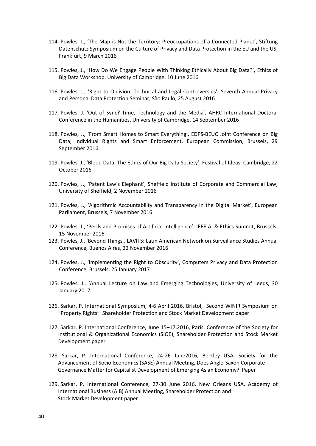- <span id="page-39-0"></span>114. Powles, J., 'The Map is Not the Territory: Preoccupations of a Connected Planet', Stiftung Datenschutz Symposium on the Culture of Privacy and Data Protection in the EU and the US, Frankfurt, 9 March 2016
- <span id="page-39-1"></span>115. Powles, J., 'How Do We Engage People With Thinking Ethically About Big Data?', Ethics of Big Data Workshop, University of Cambridge, 10 June 2016
- <span id="page-39-2"></span>116. Powles, J., 'Right to Oblivion: Technical and Legal Controversies', Seventh Annual Privacy and Personal Data Protection Seminar, São Paulo, 25 August 2016
- <span id="page-39-3"></span>117. Powles, J. 'Out of Sync? Time, Technology and the Media', AHRC International Doctoral Conference in the Humanities, University of Cambridge, 14 September 2016
- <span id="page-39-4"></span>118. Powles, J., 'From Smart Homes to Smart Everything', EDPS-BEUC Joint Conference on Big Data, Individual Rights and Smart Enforcement, European Commission, Brussels, 29 September 2016
- <span id="page-39-5"></span>119. Powles, J., 'Blood Data: The Ethics of Our Big Data Society', Festival of Ideas, Cambridge, 22 October 2016
- <span id="page-39-6"></span>120. Powles, J., 'Patent Law's Elephant', Sheffield Institute of Corporate and Commercial Law, University of Sheffield, 2 November 2016
- <span id="page-39-7"></span>121. Powles, J., 'Algorithmic Accountability and Transparency in the Digital Market', European Parliament, Brussels, 7 November 2016
- <span id="page-39-8"></span>122. Powles, J., 'Perils and Promises of Artificial Intelligence', IEEE AI & Ethics Summit, Brussels, 15 November 2016
- <span id="page-39-9"></span>123. Powles, J., 'Beyond Things', LAVITS: Latin American Network on Surveillance Studies Annual Conference, Buenos Aires, 22 November 2016
- <span id="page-39-10"></span>124. Powles, J., 'Implementing the Right to Obscurity', Computers Privacy and Data Protection Conference, Brussels, 25 January 2017
- <span id="page-39-11"></span>125. Powles, J., 'Annual Lecture on Law and Emerging Technologies, University of Leeds, 30 January 2017
- 126. Sarkar, P. International Symposium, 4-6 April 2016, Bristol, Second WINIR Symposium on "Property Rights" Shareholder Protection and Stock Market Development paper
- 127. Sarkar, P. International Conference, June 15–17,2016, Paris, Conference of the Society for Institutional & Organizational Economics (SIOE), Shareholder Protection and Stock Market Development paper
- 128. Sarkar, P. International Conference, 24-26 June2016, Berkley USA, Society for the Advancement of Socio-Economics (SASE) Annual Meeting, Does Anglo-Saxon Corporate Governance Matter for Capitalist Development of Emerging Asian Economy? Paper
- 129. Sarkar, P. International Conference, 27-30 June 2016, New Orleans USA, Academy of International Business (AIB) Annual Meeting, Shareholder Protection and Stock Market Development paper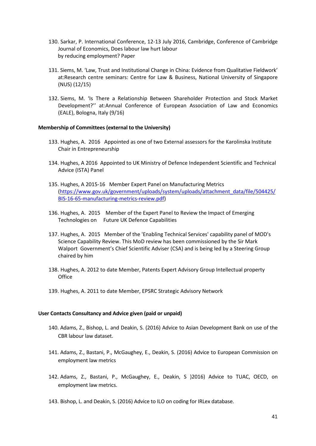- 130. Sarkar, P. International Conference, 12-13 July 2016, Cambridge, Conference of Cambridge Journal of Economics, Does labour law hurt labour by reducing employment? Paper
- 131. Siems, M. 'Law, Trust and Institutional Change in China: Evidence from Qualitative Fieldwork' at:Research centre seminars: Centre for Law & Business, National University of Singapore (NUS) (12/15)
- 132. Siems, M. 'Is There a Relationship Between Shareholder Protection and Stock Market Development?'' at:Annual Conference of European Association of Law and Economics (EALE), Bologna, Italy (9/16)

# **Membership of Committees (external to the University)**

- <span id="page-40-0"></span>133. Hughes, A. 2016 Appointed as one of two External assessors for the Karolinska Institute Chair in Entrepreneurship
- <span id="page-40-1"></span>134. Hughes, A 2016 Appointed to UK Ministry of Defence Independent Scientific and Technical Advice (ISTA) Panel
- <span id="page-40-2"></span>135. Hughes, A 2015-16 Member Expert Panel on Manufacturing Metrics [\(https://www.gov.uk/government/uploads/system/uploads/attachment\\_data/file/504425/](https://www.gov.uk/government/uploads/system/uploads/attachment_data/file/504425/BIS-16-65-manufacturing-metrics-review.pdf) [BIS-16-65-manufacturing-metrics-review.pdf\)](https://www.gov.uk/government/uploads/system/uploads/attachment_data/file/504425/BIS-16-65-manufacturing-metrics-review.pdf)
- <span id="page-40-3"></span>136. Hughes, A. 2015 Member of the Expert Panel to Review the Impact of Emerging Technologies on Future UK Defence Capabilities
- <span id="page-40-4"></span>137. Hughes, A. 2015 Member of the 'Enabling Technical Services' capability panel of MOD's Science Capability Review. This MoD review has been commissioned by the Sir Mark Walport Government's Chief Scientific Adviser (CSA) and is being led by a Steering Group chaired by him
- <span id="page-40-5"></span>138. Hughes, A. 2012 to date Member, Patents Expert Advisory Group Intellectual property **Office**
- <span id="page-40-6"></span>139. Hughes, A. 2011 to date Member, EPSRC Strategic Advisory Network

## **User Contacts Consultancy and Advice given (paid or unpaid)**

- <span id="page-40-7"></span>140. Adams, Z., Bishop, L. and Deakin, S. (2016) Advice to Asian Development Bank on use of the CBR labour law dataset.
- <span id="page-40-8"></span>141. Adams, Z., Bastani, P., McGaughey, E., Deakin, S. (2016) Advice to European Commission on employment law metrics
- <span id="page-40-9"></span>142. Adams, Z., Bastani, P., McGaughey, E., Deakin, S )2016) Advice to TUAC, OECD, on employment law metrics.
- <span id="page-40-10"></span>143. Bishop, L. and Deakin, S. (2016) Advice to ILO on coding for IRLex database.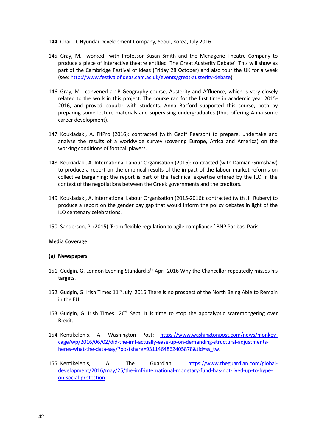<span id="page-41-7"></span>144. Chai, D. Hyundai Development Company, Seoul, Korea, July 2016

- <span id="page-41-5"></span>145. Gray, M. worked with Professor Susan Smith and the Menagerie Theatre Company to produce a piece of interactive theatre entitled 'The Great Austerity Debate'. This will show as part of the Cambridge Festival of Ideas (Friday 28 October) and also tour the UK for a week (see: [http://www.festivalofideas.cam.ac.uk/events/great-austerity-debate\)](http://www.festivalofideas.cam.ac.uk/events/great-austerity-debate)
- <span id="page-41-6"></span>146. Gray, M. convened a 1B Geography course, Austerity and Affluence, which is very closely related to the work in this project. The course ran for the first time in academic year 2015- 2016, and proved popular with students. Anna Barford supported this course, both by preparing some lecture materials and supervising undergraduates (thus offering Anna some career development).
- 147. Koukiadaki, A. FifPro (2016): contracted (with Geoff Pearson) to prepare, undertake and analyse the results of a worldwide survey (covering Europe, Africa and America) on the working conditions of football players.
- 148. Koukiadaki, A. International Labour Organisation (2016): contracted (with Damian Grimshaw) to produce a report on the empirical results of the impact of the labour market reforms on collective bargaining; the report is part of the technical expertise offered by the ILO in the context of the negotiations between the Greek governments and the creditors.
- 149. Koukiadaki, A. International Labour Organisation (2015-2016): contracted (with Jill Rubery) to produce a report on the gender pay gap that would inform the policy debates in light of the ILO centenary celebrations.
- 150. Sanderson, P. (2015) 'From flexible regulation to agile compliance.' BNP Paribas, Paris

# **Media Coverage**

## **(a) Newspapers**

- <span id="page-41-0"></span>151. Gudgin, G. London Evening Standard 5<sup>th</sup> April 2016 Why the Chancellor repeatedly misses his targets.
- <span id="page-41-1"></span>152. Gudgin, G. Irish Times 11<sup>th</sup> July 2016 There is no prospect of the North Being Able to Remain in the EU.
- <span id="page-41-2"></span>153. Gudgin, G. Irish Times  $26<sup>th</sup>$  Sept. It is time to stop the apocalyptic scaremongering over Brexit.
- <span id="page-41-3"></span>154. Kentikelenis, A. Washington Post: [https://www.washingtonpost.com/news/monkey](https://www.washingtonpost.com/news/monkey-cage/wp/2016/06/02/did-the-imf-actually-ease-up-on-demanding-structural-adjustments-heres-what-the-data-say/?postshare=9311464862405878&tid=ss_tw)[cage/wp/2016/06/02/did-the-imf-actually-ease-up-on-demanding-structural-adjustments](https://www.washingtonpost.com/news/monkey-cage/wp/2016/06/02/did-the-imf-actually-ease-up-on-demanding-structural-adjustments-heres-what-the-data-say/?postshare=9311464862405878&tid=ss_tw)[heres-what-the-data-say/?postshare=9311464862405878&tid=ss\\_tw.](https://www.washingtonpost.com/news/monkey-cage/wp/2016/06/02/did-the-imf-actually-ease-up-on-demanding-structural-adjustments-heres-what-the-data-say/?postshare=9311464862405878&tid=ss_tw)
- <span id="page-41-4"></span>155. Kentikelenis, A. The Guardian: [https://www.theguardian.com/global](https://www.theguardian.com/global-development/2016/may/25/the-imf-international-monetary-fund-has-not-lived-up-to-hype-on-social-protection)[development/2016/may/25/the-imf-international-monetary-fund-has-not-lived-up-to-hype](https://www.theguardian.com/global-development/2016/may/25/the-imf-international-monetary-fund-has-not-lived-up-to-hype-on-social-protection)[on-social-protection.](https://www.theguardian.com/global-development/2016/may/25/the-imf-international-monetary-fund-has-not-lived-up-to-hype-on-social-protection)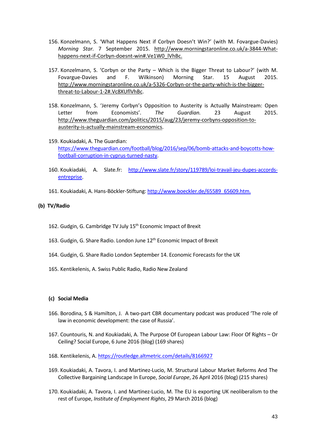- 156. Konzelmann, S. 'What Happens Next if Corbyn Doesn't Win?' (with M. Fovargue-Davies) *Morning Star.* 7 September 2015. [http://www.morningstaronline.co.uk/a-3844-What](http://www.morningstaronline.co.uk/a-3844-What-happens-next-if-Corbyn-doesnt-win#.Ve1W0_lVhBc)[happens-next-if-Corbyn-doesnt-win#.Ve1W0\\_lVhBc.](http://www.morningstaronline.co.uk/a-3844-What-happens-next-if-Corbyn-doesnt-win#.Ve1W0_lVhBc)
- 157. Konzelmann, S. 'Corbyn or the Party Which is the Bigger Threat to Labour?' (with M. Fovargue-Davies and F. Wilkinson) Morning Star. 15 August 2015. [http://www.morningstaronline.co.uk/a-5326-Corbyn-or-the-party-which-is-the-bigger](http://www.morningstaronline.co.uk/a-5326-Corbyn-or-the-party-which-is-the-bigger-threat-to-Labour-1-2#.Vc8XUflVhBc)[threat-to-Labour-1-2#.Vc8XUflVhBc.](http://www.morningstaronline.co.uk/a-5326-Corbyn-or-the-party-which-is-the-bigger-threat-to-Labour-1-2#.Vc8XUflVhBc)
- 158. Konzelmann, S. 'Jeremy Corbyn's Opposition to Austerity is Actually Mainstream: Open Letter from Economists'. *The Guardian.* 23 August 2015. [http://www.theguardian.com/politics/2015/aug/23/jeremy-corbyns-opposition-to](http://www.theguardian.com/politics/2015/aug/23/jeremy-corbyns-opposition-to-austerity-is-actually-mainstream-economics)[austerity-is-actually-mainstream-economics.](http://www.theguardian.com/politics/2015/aug/23/jeremy-corbyns-opposition-to-austerity-is-actually-mainstream-economics)
- 159. Koukiadaki, A. The Guardian: [https://www.theguardian.com/football/blog/2016/sep/06/bomb-attacks-and-boycotts-how](https://www.theguardian.com/football/blog/2016/sep/06/bomb-attacks-and-boycotts-how-football-corruption-in-cyprus-turned-nasty)[football-corruption-in-cyprus-turned-nasty.](https://www.theguardian.com/football/blog/2016/sep/06/bomb-attacks-and-boycotts-how-football-corruption-in-cyprus-turned-nasty)
- 160. Koukiadaki, A. Slate.fr: [http://www.slate.fr/story/119789/loi-travail-jeu-dupes-accords](http://www.slate.fr/story/119789/loi-travail-jeu-dupes-accords-entreprise)[entreprise.](http://www.slate.fr/story/119789/loi-travail-jeu-dupes-accords-entreprise)
- 161. Koukiadaki, A. Hans-Böckler-Stiftung: [http://www.boeckler.de/65589\\_65609.htm.](http://www.boeckler.de/65589_65609.htm)

# **(b) TV/Radio**

- <span id="page-42-0"></span>162. Gudgin, G. Cambridge TV July 15<sup>th</sup> Economic Impact of Brexit
- <span id="page-42-1"></span>163. Gudgin, G. Share Radio. London June 12<sup>th</sup> Economic Impact of Brexit
- <span id="page-42-2"></span>164. Gudgin, G. Share Radio London September 14. Economic Forecasts for the UK
- <span id="page-42-3"></span>165. Kentikelenis, A. Swiss Public Radio, Radio New Zealand

## **(c) Social Media**

- <span id="page-42-5"></span>166. Borodina, S & Hamilton, J. A two-part CBR documentary podcast was produced 'The role of law in economic development: the case of Russia'.
- 167. Countouris, N. and Koukiadaki, A. The Purpose Of European Labour Law: Floor Of Rights Or Ceiling? Social Europe, 6 June 2016 (blog) (169 shares)
- <span id="page-42-4"></span>168. Kentikelenis, A[. https://routledge.altmetric.com/details/8166927](https://routledge.altmetric.com/details/8166927)
- 169. Koukiadaki, A. Tavora, I. and Martinez-Lucio, M. Structural Labour Market Reforms And The Collective Bargaining Landscape In Europe, *Social Europe*, 26 April 2016 (blog) (215 shares)
- 170. Koukiadaki, A. Tavora, I. and Martinez-Lucio, M. The EU is exporting UK neoliberalism to the rest of Europe, *Institute of Employment Rights*, 29 March 2016 (blog)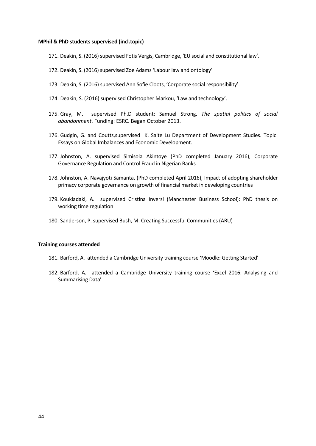## **MPhil & PhD students supervised (incl.topic)**

- <span id="page-43-4"></span>171. Deakin, S. (2016) supervised Fotis Vergis, Cambridge, 'EU social and constitutional law'.
- <span id="page-43-5"></span>172. Deakin, S. (2016) supervised Zoe Adams 'Labour law and ontology'
- <span id="page-43-6"></span>173. Deakin, S. (2016) supervised Ann Sofie Cloots, 'Corporate social responsibility'.
- 174. Deakin, S. (2016) supervised Christopher Markou, 'Law and technology'.
- <span id="page-43-1"></span>175. Gray, M. supervised Ph.D student: Samuel Strong. *The spatial politics of social abandonment*. Funding: ESRC. Began October 2013.
- <span id="page-43-0"></span>176. Gudgin, G. and Coutts,supervised K. Saite Lu Department of Development Studies. Topic: Essays on Global Imbalances and Economic Development.
- 177. Johnston, A. supervised Simisola Akintoye (PhD completed January 2016), Corporate Governance Regulation and Control Fraud in Nigerian Banks
- 178. Johnston, A. Navajyoti Samanta, (PhD completed April 2016), Impact of adopting shareholder primacy corporate governance on growth of financial market in developing countries
- 179. Koukiadaki, A. supervised Cristina Inversi (Manchester Business School): PhD thesis on working time regulation
- 180. Sanderson, P. supervised Bush, M. Creating Successful Communities (ARU)

#### **Training courses attended**

- <span id="page-43-2"></span>181. Barford, A. attended a Cambridge University training course 'Moodle: Getting Started'
- <span id="page-43-3"></span>182. Barford, A. attended a Cambridge University training course 'Excel 2016: Analysing and Summarising Data'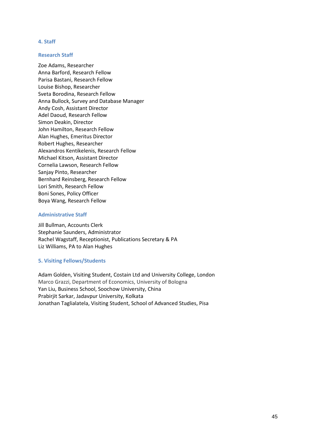## **4. Staff**

## **Research Staff**

Zoe Adams, Researcher Anna Barford, Research Fellow Parisa Bastani, Research Fellow Louise Bishop, Researcher Sveta Borodina, Research Fellow Anna Bullock, Survey and Database Manager Andy Cosh, Assistant Director Adel Daoud, Research Fellow Simon Deakin, Director John Hamilton, Research Fellow Alan Hughes, Emeritus Director Robert Hughes, Researcher Alexandros Kentikelenis, Research Fellow Michael Kitson, Assistant Director Cornelia Lawson, Research Fellow Sanjay Pinto, Researcher Bernhard Reinsberg, Research Fellow Lori Smith, Research Fellow Boni Sones, Policy Officer Boya Wang, Research Fellow

# **Administrative Staff**

Jill Bullman, Accounts Clerk Stephanie Saunders, Administrator Rachel Wagstaff, Receptionist, Publications Secretary & PA Liz Williams, PA to Alan Hughes

# <span id="page-44-0"></span>**5. Visiting Fellows/Students**

Adam Golden, Visiting Student, Costain Ltd and University College, London Marco Grazzi, Department of Economics, University of Bologna Yan Liu, Business School, Soochow University, China Prabirjit Sarkar, Jadavpur University, Kolkata Jonathan Taglialatela, Visiting Student, School of Advanced Studies, Pisa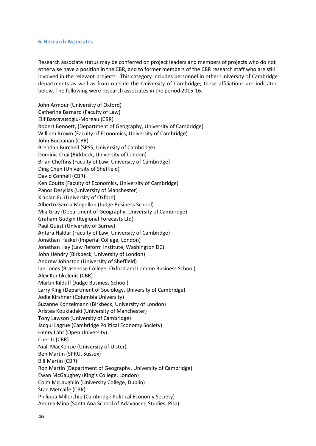## <span id="page-45-0"></span>**6. Research Associates**

Research associate status may be conferred on project leaders and members of projects who do not otherwise have a position in the CBR, and to former members of the CBR research staff who are still involved in the relevant projects. This category includes personnel in other University of Cambridge departments as well as from outside the University of Cambridge; these affiliations are indicated below. The following were research associates in the period 2015-16:

John Armour (University of Oxford) Catherine Barnard (Faculty of Law) Elif Bascavusoglu-Moreau (CBR) Robert Bennett, (Department of Geography, University of Cambridge) William Brown (Faculty of Economics, University of Cambridge) John Buchanan (CBR) Brendan Burchell (SPSS, University of Cambridge) Dominic Chai (Birkbeck, University of London) Brian Cheffins (Faculty of Law, University of Cambridge) Ding Chen (University of Sheffield) David Connell (CBR) Ken Coutts (Faculty of Economics, University of Cambridge) Panos Desyllas (University of Manchester) Xiaolan Fu (University of Oxford) Alberto Garcia Mogollon (Judge Business School) Mia Gray (Department of Geography, University of Cambridge) Graham Gudgin (Regional Forecasts Ltd) Paul Guest (University of Surrey) Antara Haldar (Faculty of Law, University of Cambridge) Jonathan Haskel (Imperial College, London) Jonathan Hay (Law Reform Institute, Washington DC) John Hendry (Birkbeck, University of London) Andrew Johnston (University of Sheffield) Ian Jones (Brasenose College, Oxford and London Business School) Alex Kentikelenis (CBR) Martin Kilduff (Judge Business School) Larry King (Department of Sociology, University of Cambridge) Jodie Kirshner (Columbia University) Suzanne Konzelmann (Birkbeck, University of London) Aristea Koukiadaki (University of Manchester) Tony Lawson (University of Cambridge) Jacqui Lagrue (Cambridge Political Economy Society) Henry Lahr (Open University) Cher Li (CBR) Niall MacKenzie (University of Ulster) Ben Martin (SPRU, Sussex) Bill Martin (CBR) Ron Martin (Department of Geography, University of Cambridge) Ewan McGaughey (King's College, London) Colm McLaughlin (University College, Dublin) Stan Metcalfe (CBR) Philippa Millerchip (Cambridge Political Economy Society) Andrea Mina (Santa Ana School of Adavanced Studies, Pisa)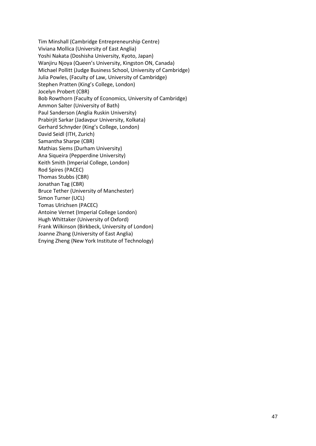Tim Minshall (Cambridge Entrepreneurship Centre) Viviana Mollica (University of East Anglia) Yoshi Nakata (Doshisha University, Kyoto, Japan) Wanjiru Njoya (Queen's University, Kingston ON, Canada) Michael Pollitt (Judge Business School, University of Cambridge) Julia Powles, (Faculty of Law, University of Cambridge) Stephen Pratten (King's College, London) Jocelyn Probert (CBR) Bob Rowthorn (Faculty of Economics, University of Cambridge) Ammon Salter (University of Bath) Paul Sanderson (Anglia Ruskin University) Prabirjit Sarkar (Jadavpur University, Kolkata) Gerhard Schnyder (King's College, London) David Seidl (ITH, Zurich) Samantha Sharpe (CBR) Mathias Siems (Durham University) Ana Siqueira (Pepperdine University) Keith Smith (Imperial College, London) Rod Spires (PACEC) Thomas Stubbs (CBR) Jonathan Tag (CBR) Bruce Tether (University of Manchester) Simon Turner (UCL) Tomas Ulrichsen (PACEC) Antoine Vernet (Imperial College London) Hugh Whittaker (University of Oxford) Frank Wilkinson (Birkbeck, University of London) Joanne Zhang (University of East Anglia) Enying Zheng (New York Institute of Technology)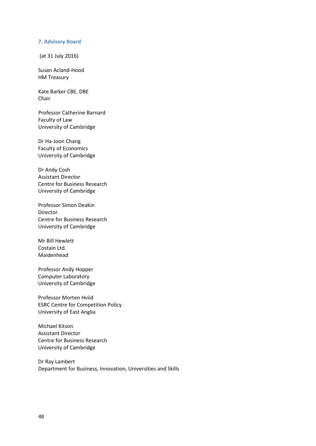## <span id="page-47-0"></span>**7. Advisory Board**

(at 31 July 2016)

Susan Acland-Hood HM Treasury

Kate Barker CBE, DBE Chair

Professor Catherine Barnard Faculty of Law University of Cambridge

Dr Ha-Joon Chang Faculty of Economics University of Cambridge

Dr Andy Cosh Assistant Director Centre for Business Research University of Cambridge

Professor Simon Deakin Director Centre for Business Research University of Cambridge

Mr Bill Hewlett Costain Ltd. Maidenhead

Professor Andy Hopper Computer Laboratory University of Cambridge

Professor Morten Hviid ESRC Centre for Competition Policy University of East Anglia

Michael Kitson Assistant Director Centre for Business Research University of Cambridge

Dr Ray Lambert Department for Business, Innovation, Universities and Skills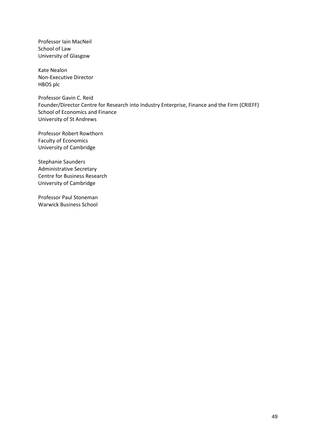Professor Iain MacNeil School of Law University of Glasgow

Kate Nealon Non-Executive Director HBOS plc

Professor Gavin C. Reid Founder/Director Centre for Research into Industry Enterprise, Finance and the Firm (CRIEFF) School of Economics and Finance University of St Andrews

Professor Robert Rowthorn Faculty of Economics University of Cambridge

Stephanie Saunders Administrative Secretary Centre for Business Research University of Cambridge

Professor Paul Stoneman Warwick Business School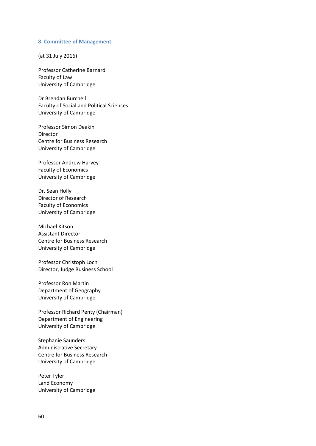#### <span id="page-49-0"></span>**8. Committee of Management**

(at 31 July 2016)

Professor Catherine Barnard Faculty of Law University of Cambridge

Dr Brendan Burchell Faculty of Social and Political Sciences University of Cambridge

Professor Simon Deakin Director Centre for Business Research University of Cambridge

Professor Andrew Harvey Faculty of Economics University of Cambridge

Dr. Sean Holly Director of Research Faculty of Economics University of Cambridge

Michael Kitson Assistant Director Centre for Business Research University of Cambridge

Professor Christoph Loch Director, Judge Business School

Professor Ron Martin Department of Geography University of Cambridge

Professor Richard Penty (Chairman) Department of Engineering University of Cambridge

Stephanie Saunders Administrative Secretary Centre for Business Research University of Cambridge

Peter Tyler Land Economy University of Cambridge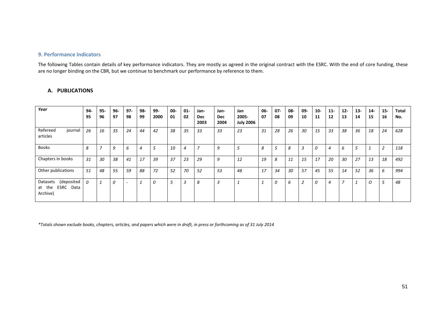# **9. Performance Indicators**

The following Tables contain details of key performance indicators. They are mostly as agreed in the original contract with the ESRC. With the end of core funding, these are no longer binding on the CBR, but we continue to benchmark our performance by reference to them.

| Year                                                         | 94-<br>95 | 95-<br>96                | 96-<br>97 | $97 -$<br>98 | 98-<br>99 | 99-<br>2000 | 00-<br>01      | $01 -$<br>02 | Jan-<br><b>Dec</b><br>2003 | Jan-<br><b>Dec</b><br>2004 | Jan<br>2005-<br><b>July 2006</b> | 06-<br>07      | $07 -$<br>08 | 08-<br>09 | 09-<br>10      | $10-$<br>11 | $11-$<br>12 | $12-$<br>13    | $13-$<br>14 | $14-$<br>15 | $15-$<br>16 | <b>Total</b><br>No. |
|--------------------------------------------------------------|-----------|--------------------------|-----------|--------------|-----------|-------------|----------------|--------------|----------------------------|----------------------------|----------------------------------|----------------|--------------|-----------|----------------|-------------|-------------|----------------|-------------|-------------|-------------|---------------------|
| Refereed<br>journal<br>articles                              | 26        | 16                       | 35        | 24           | 44        | 42          | 38             | 35           | 33                         | 33                         | 23                               | 31             | 28           | 26        | 30             | 15          | 33          | 38             | 36          | 18          | 24          | 628                 |
| <b>Books</b>                                                 | 8         | $\overline{\phantom{a}}$ | 9         | 6            | 4         | 5           | 10             | 4            | $7^{\circ}$                | 9                          | 5                                | 8              | 5            | 8         | 3              | 0           | 4           | 6              | 5           |             | 2           | 118                 |
| Chapters in books                                            | 31        | 30                       | 38        | 41           | 17        | 39          | 37             | 23           | 29                         | 9                          | 12                               | 19             | 8            | 11        | 15             | 17          | 20          | 30             | 27          | 13          | 18          | 492                 |
| Other publications                                           | 51        | 48                       | 55        | 59           | 88        | 72          | 52             | 70           | 52                         | 53                         | 48                               | 17             | 34           | 30        | 57             | 45          | 55          | 14             | 52          | 36          | 6           | 994                 |
| (deposited<br>Datasets<br>ESRC<br>Data<br>at the<br>Archive) | $\Omega$  | $\mathbf{\overline{1}}$  | $\theta$  | $\sim$       |           | $\theta$    | $\overline{r}$ | 3            | 8                          | 3                          | $\mathbf{1}$                     | $\overline{1}$ | 0            | 6         | $\overline{2}$ | 0           | 4           | $\overline{ }$ | 1           | O           | 5           | 48                  |

# **A. PUBLICATIONS**

<span id="page-50-0"></span>*\*Totals shown exclude books, chapters, articles, and papers which were in draft, in press or forthcoming as of 31 July 2014*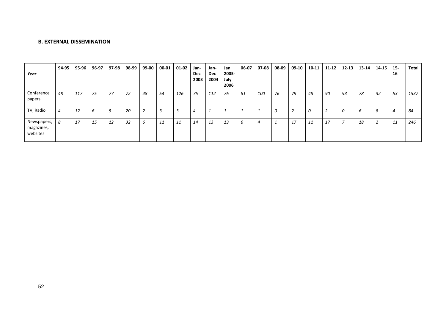# **B. EXTERNAL DISSEMINATION**

| Year                                  | 94-95                       | 95-96 | 96-97 | 97-98 | 98-99 | 99-00 | 00-01 | 01-02 | Jan-<br><b>Dec</b><br>2003 | Jan-<br>Dec<br>2004 | Jan<br>2005-<br>July<br>2006 | 06-07 | 07-08          | 08-09    | 09-10 | 10-11 | $11 - 12$ | $12 - 13$ | 13-14 | 14-15 | $15 -$<br>16 | Total |
|---------------------------------------|-----------------------------|-------|-------|-------|-------|-------|-------|-------|----------------------------|---------------------|------------------------------|-------|----------------|----------|-------|-------|-----------|-----------|-------|-------|--------------|-------|
| Conference<br>papers                  | 48                          | 117   | 75    | 77    | 72    | 48    | 54    | 126   | 75                         | 112                 | 76                           | 81    | 100            | 76       | 79    | 48    | 90        | 93        | 78    | 32    | 53           | 1537  |
| TV, Radio                             | $\boldsymbol{\vartriangle}$ | 12    | b     |       | 20    | ∠     | 3     | 3     | 4                          |                     |                              |       | ÷              | $\Omega$ | ∠     | 0     |           | 0         | b     | 8     | 4            | 84    |
| Newspapers,<br>magazines,<br>websites | 8                           | 17    | 15    | 12    | 32    | b     | 11    | 11    | 14                         | 13                  | 13                           | O     | $\overline{4}$ |          | 17    | 11    | 17        |           | 18    | 2     | 11           | 246   |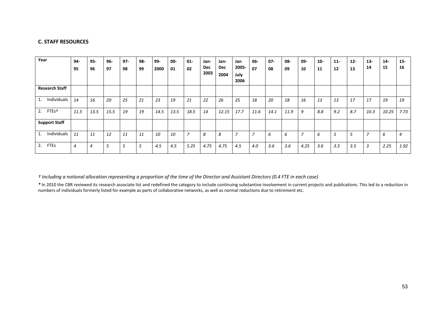# **C. STAFF RESOURCES**

| Year                     | $94-$<br>95 | $95 -$<br>96 | 96-<br>97 | $97 -$<br>98 | 98-<br>99 | $99 -$<br>2000 | 00-<br>01 | $01 -$<br>02 | Jan-<br>Dec<br>2003 | Jan-<br><b>Dec</b><br>2004 | Jan<br>2005-<br>July<br>2006 | $06-$<br>07    | $07 -$<br>08 | 08-<br>09 | 09-<br>10      | $10 -$<br>11 | $11 -$<br>12 | $12 -$<br>13 | $13 -$<br>14   | $14-$<br>15 | $15-$<br>16    |
|--------------------------|-------------|--------------|-----------|--------------|-----------|----------------|-----------|--------------|---------------------|----------------------------|------------------------------|----------------|--------------|-----------|----------------|--------------|--------------|--------------|----------------|-------------|----------------|
| <b>Research Staff</b>    |             |              |           |              |           |                |           |              |                     |                            |                              |                |              |           |                |              |              |              |                |             |                |
| Individuals              | 14          | 16           | 20        | 25           | 21        | 23             | 19        | 21           | 22                  | 26                         | 25                           | 18             | 20           | 18        | 16             | 13           | 13           | 17           | 17             | 19          | 19             |
| 2.<br>FTE <sub>s</sub> t | 11.5        | 13.5         | 15.5      | 19           | 19        | 14.5           | 13.5      | 18.5         | 14                  | 12.15                      | 17.7                         | 11.6           | 14.1         | 11.9      | 9              | 8.8          | 9.2          | 8.7          | 10.3           | 10.25       | 7.73           |
| <b>Support Staff</b>     |             |              |           |              |           |                |           |              |                     |                            |                              |                |              |           |                |              |              |              |                |             |                |
| Individuals              | 11          | 11           | 12        | 11           | 11        | 10             | 10        | 7            | 8                   | 8                          | <u>.</u>                     | $\overline{7}$ | 6            | 6         | $\overline{ }$ | 6            | 5            | 5            | 7              | 6           | $\overline{4}$ |
| <b>FTEs</b><br>2.        | 4           | 4            | 5         | 5            |           | 4.5            | 4.5       | 5.25         | 4.75                | 4.75                       | 4.5                          | 4.0            | 3.6          | 3.6       | 4.25           | 3.6          | 3.5          | 3.5          | $\overline{3}$ | 2.25        | 1.92           |

*† Including a notional allocation representing a proportion of the time of the Director and Assistant Directors (0.4 FTE in each case)*

*\** In 2010 the CBR reviewed its research associate list and redefined the category to include continuing substantive involvement in current projects and publications. This led to a reduction in numbers of individuals formerly listed for example as parts of collaborative networks, as well as normal reductions due to retirement etc.